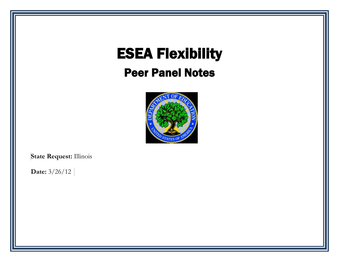# ESEA Flexibility

## Peer Panel Notes



**State Request:** Illinois

**Date:** 3/26/12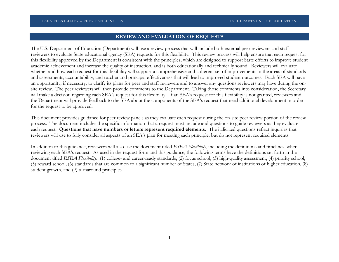## **REVIEW AND EVALUATION OF REQUESTS**

The U.S. Department of Education (Department) will use a review process that will include both external peer reviewers and staff reviewers to evaluate State educational agency (SEA) requests for this flexibility. This review process will help ensure that each request for this flexibility approved by the Department is consistent with the principles, which are designed to support State efforts to improve student academic achievement and increase the quality of instruction, and is both educationally and technically sound. Reviewers will evaluate whether and how each request for this flexibility will support a comprehensive and coherent set of improvements in the areas of standards and assessments, accountability, and teacher and principal effectiveness that will lead to improved student outcomes. Each SEA will have an opportunity, if necessary, to clarify its plans for peer and staff reviewers and to answer any questions reviewers may have during the onsite review. The peer reviewers will then provide comments to the Department. Taking those comments into consideration, the Secretary will make a decision regarding each SEA's request for this flexibility. If an SEA's request for this flexibility is not granted, reviewers and the Department will provide feedback to the SEA about the components of the SEA's request that need additional development in order for the request to be approved.

This document provides guidance for peer review panels as they evaluate each request during the on-site peer review portion of the review process. The document includes the specific information that a request must include and questions to guide reviewers as they evaluate each request. **Questions that have numbers or letters represent required elements.** The italicized questions reflect inquiries that reviewers will use to fully consider all aspects of an SEA's plan for meeting each principle, but do not represent required elements.

In addition to this guidance, reviewers will also use the document titled *ESEA Flexibility*, including the definitions and timelines, when reviewing each SEA's request. As used in the request form and this guidance, the following terms have the definitions set forth in the document titled *ESEA Flexibility*: (1) college- and career-ready standards, (2) focus school, (3) high-quality assessment, (4) priority school, (5) reward school, (6) standards that are common to a significant number of States, (7) State network of institutions of higher education, (8) student growth, and (9) turnaround principles.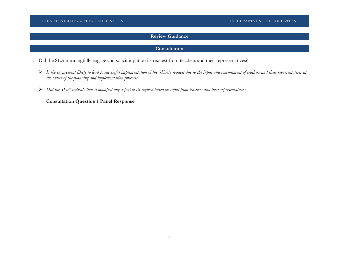## **Review Guidance**

## **Consultation**

- 1. Did the SEA meaningfully engage and solicit input on its request from teachers and their representatives?
	- *Is the engagement likely to lead to successful implementation of the SEA's request due to the input and commitment of teachers and their representatives at the outset of the planning and implementation process?*
	- *Did the SEA indicate that it modified any aspect of its request based on input from teachers and their representatives?*

**Consultation Question 1 Panel Response**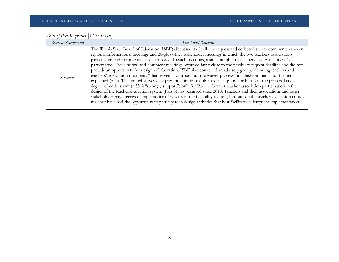| Tally of Peer Responses: 6 Yes, 0 No |  |  |  |  |
|--------------------------------------|--|--|--|--|

| Response Component | Peer Panel Response                                                                                                                                                                                                                                                                                                                                                                                                                                                                                                                                                                                                                                                                                                                                                                                                                                                                                                                                                                                                                                                                                                                                                                                                                                                                                                                  |
|--------------------|--------------------------------------------------------------------------------------------------------------------------------------------------------------------------------------------------------------------------------------------------------------------------------------------------------------------------------------------------------------------------------------------------------------------------------------------------------------------------------------------------------------------------------------------------------------------------------------------------------------------------------------------------------------------------------------------------------------------------------------------------------------------------------------------------------------------------------------------------------------------------------------------------------------------------------------------------------------------------------------------------------------------------------------------------------------------------------------------------------------------------------------------------------------------------------------------------------------------------------------------------------------------------------------------------------------------------------------|
| Rationale          | The Illinois State Board of Education (ISBE) discussed its flexibility request and collected survey comments at seven<br>regional informational meetings and 20-plus other stakeholder meetings in which the two teachers associations<br>participated and in some cases cosponsored. In such meetings, a small number of teachers (see Attachment 2)<br>participated. These notice-and-comment meetings occurred fairly close to the flexibility request deadline and did not<br>provide an opportunity for design collaboration. ISBE also convened an advisory group, including teachers and<br>teachers' association members, "that served throughout the waiver process" in a fashion that is not further<br>explained (p. 9). The limited survey data presented indicate only modest support for Part 2 of the proposal and a<br>degree of enthusiasm (>55% "strongly support") only for Part 1. Greater teacher association participation in the<br>design of the teacher evaluation system (Part 3) has occurred since 2010. Teachers and their associations and other<br>stakeholders have received ample notice of what is in the flexibility request, but outside the teacher-evaluation context<br>may not have had the opportunity to participate in design activities that best facilitates subsequent implementation. |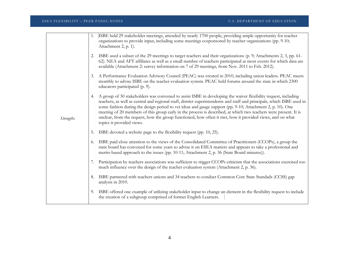|                  | 1. | ISBE held 29 stakeholder meetings, attended by nearly 1700 people, providing ample opportunity for teacher<br>organizations to provide input, including some meetings cosponsored by teacher organizations (pp. 9-10;<br>Attachment 2, p. 1).                                                                                                                                                                                                                                                                                                                                                                       |
|------------------|----|---------------------------------------------------------------------------------------------------------------------------------------------------------------------------------------------------------------------------------------------------------------------------------------------------------------------------------------------------------------------------------------------------------------------------------------------------------------------------------------------------------------------------------------------------------------------------------------------------------------------|
|                  | 2. | ISBE used a subset of the 29 meetings to target teachers and their organizations (p. 9; Attachments 2, 3, pp. 61-<br>62). NEA and AFT affiliates as well as a small number of teachers participated at most events for which data are<br>available (Attachment 2: survey information on 7 of 29 meetings, from Nov. 2011 to Feb. 2012).                                                                                                                                                                                                                                                                             |
|                  | 3. | A Performance Evaluation Advisory Council (PEAC) was created in 2010, including union leaders. PEAC meets<br>monthly to advise ISBE on the teacher evaluation system. PEAC held forums around the state in which 2300<br>educators participated (p. 9).                                                                                                                                                                                                                                                                                                                                                             |
| <b>Strengths</b> | 4. | A group of 30 stakeholders was convened to assist ISBE in developing the waiver flexibility request, including<br>teachers, as well as central and regional staff, district superintendents and staff and principals, which ISBE used in<br>some fashion during the design period to vet ideas and gauge support (pp. 9-10; Attachment 2, p. 10). One<br>meeting of 20 members of this group early in the process is described, at which two teachers were present. It is<br>unclear, from the request, how the group functioned, how often it met, how it provided views, and on what<br>topics it provided views. |
|                  | 5. | ISBE devoted a website page to the flexibility request (pp. 10, 25).                                                                                                                                                                                                                                                                                                                                                                                                                                                                                                                                                |
|                  | 6. | ISBE paid close attention to the views of the Consolidated Committee of Practitioners (CCOPs), a group the<br>state board has convened for some years to advise it on ESEA matters and appears to take a professional and<br>merits-based approach to the issues (pp. 10-11; Attachment 2, p. 36 (State Board minutes)).                                                                                                                                                                                                                                                                                            |
|                  | 7. | Participation by teachers associations was sufficient to trigger CCOPs criticism that the associations exercised too<br>much influence over the design of the teacher evaluation system (Attachment 2, p. 36).                                                                                                                                                                                                                                                                                                                                                                                                      |
|                  | 8. | ISBE partnered with teachers unions and 34 teachers to conduct Common Core State Standads (CCSS) gap<br>analysis in 2010.                                                                                                                                                                                                                                                                                                                                                                                                                                                                                           |
|                  | 9. | ISBE offered one example of utilizing stakeholder input to change an element in the flexibility request to include<br>the creation of a subgroup comprised of former English Learners.                                                                                                                                                                                                                                                                                                                                                                                                                              |
|                  |    |                                                                                                                                                                                                                                                                                                                                                                                                                                                                                                                                                                                                                     |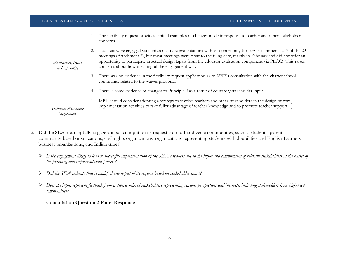| Weaknesses, issues,<br>lack of clarity     |    | The flexibility request provides limited examples of changes made in response to teacher and other stakeholder<br>concerns.                                                                                                                                                                                                                                                                                  |
|--------------------------------------------|----|--------------------------------------------------------------------------------------------------------------------------------------------------------------------------------------------------------------------------------------------------------------------------------------------------------------------------------------------------------------------------------------------------------------|
|                                            |    | Teachers were engaged via conference-type presentations with an opportunity for survey comments at 7 of the 29<br>meetings (Attachment 2), but most meetings were close to the filing date, mainly in February and did not offer an<br>opportunity to participate in actual design (apart from the educator evaluation component via PEAC). This raises<br>concerns about how meaningful the engagement was. |
|                                            | 3. | There was no evidence in the flexibility request application as to ISBE's consultation with the charter school<br>community related to the waiver proposal.                                                                                                                                                                                                                                                  |
|                                            | 4. | There is some evidence of changes to Principle 2 as a result of educator/stakeholder input.                                                                                                                                                                                                                                                                                                                  |
| Technical Assistance<br><b>Suggestions</b> | 1. | ISBE should consider adopting a strategy to involve teachers and other stakeholders in the design of core<br>implementation activities to take fuller advantage of teacher knowledge and to promote teacher support.                                                                                                                                                                                         |

- 2. Did the SEA meaningfully engage and solicit input on its request from other diverse communities, such as students, parents, community-based organizations, civil rights organizations, organizations representing students with disabilities and English Learners, business organizations, and Indian tribes?
	- *Is the engagement likely to lead to successful implementation of the SEA's request due to the input and commitment of relevant stakeholders at the outset of the planning and implementation process?*
	- *Did the SEA indicate that it modified any aspect of its request based on stakeholder input?*
	- *Does the input represent feedback from a diverse mix of stakeholders representing various perspectives and interests, including stakeholders from high-need communities?*

## **Consultation Question 2 Panel Response**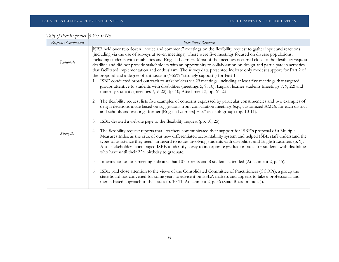| Response Component | Peer Panel Response                                                                                                                                                                                                                                                                                                                                                                                                                                                                                                                                                                                                                                                                               |
|--------------------|---------------------------------------------------------------------------------------------------------------------------------------------------------------------------------------------------------------------------------------------------------------------------------------------------------------------------------------------------------------------------------------------------------------------------------------------------------------------------------------------------------------------------------------------------------------------------------------------------------------------------------------------------------------------------------------------------|
| Rationale          | ISBE held over two dozen "notice and comment" meetings on the flexibility request to gather input and reactions<br>(including via the use of surveys at seven meetings). There were five meetings focused on diverse populations,<br>including students with disabilities and English Learners. Most of the meetings occurred close to the flexibility request<br>deadline and did not provide stakeholders with an opportunity to collaboration on design and participate in activities<br>that facilitated implementation and enthusiasm. The survey data presented indicate only modest support for Part 2 of<br>the proposal and a degree of enthusiasm (>55% "strongly support") for Part 1. |
|                    | ISBE conducted broad outreach to stakeholders via 29 meetings, including at least five meetings that targeted<br>1.<br>groups attentive to students with disabilities (meetings $5, 9, 10$ ), English learner students (meetings $7, 9, 22$ ) and<br>minority students (meetings 7, 9, 22). (p. 10; Attachment 3, pp. 61-2.)<br>The flexibility request lists five examples of concerns expressed by particular constituencies and two examples of<br>2.<br>design decisions made based on suggestions from consultation meetings (e.g., customized AMOs for each district<br>and schools and treating "former [English Learners] ELs" as a sub-group) (pp. 10-11).                               |
| Strengths          | ISBE devoted a website page to the flexibility request (pp. 10, 25).<br>3.<br>The flexibility request reports that "teachers communicated their support for ISBE's proposal of a Multiple<br>4.<br>Measures Index as the crux of our new differentiated accountability system and helped ISBE staff understand the<br>types of assistance they need" in regard to issues involving students with disabilities and English Learners (p. 9).<br>Also, stakeholders encouraged ISBE to identify a way to incorporate graduation rates for students with disabilities<br>who have until their 22 <sup>nd</sup> birthday to graduate.                                                                  |
|                    | Information on one meeting indicates that 107 parents and 8 students attended (Attachment 2, p. 45).<br>5.<br>ISBE paid close attention to the views of the Consolidated Committee of Practitioners (CCOPs), a group the<br>6.<br>state board has convened for some years to advise it on ESEA matters and appears to take a professional and<br>merits-based approach to the issues (p. 10-11; Attachment 2, p. 36 (State Board minutes)).                                                                                                                                                                                                                                                       |

| Tally of Peer Responses: 6 Yes, 0 No |  |
|--------------------------------------|--|
|                                      |  |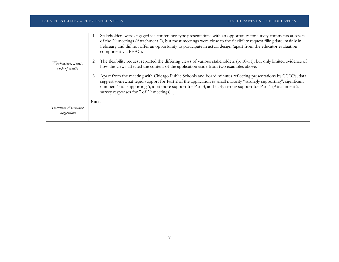| Weaknesses, issues,<br>lack of clarity | Stakeholders were engaged via conference-type presentations with an opportunity for survey comments at seven<br>of the 29 meetings (Attachment 2), but most meetings were close to the flexibility request filing date, mainly in<br>February and did not offer an opportunity to participate in actual design (apart from the educator evaluation<br>component via PEAC).<br>The flexibility request reported the differing views of various stakeholders (p. 10-11), but only limited evidence of<br>how the views affected the content of the application aside from two examples above.<br>Apart from the meeting with Chicago Public Schools and board minutes reflecting presentations by CCOPs, data<br>3.<br>suggest somewhat tepid support for Part 2 of the application (a small majority "strongly supporting"; significant<br>numbers "not supporting"), a bit more support for Part 3, and fairly strong support for Part 1 (Attachment 2,<br>survey responses for 7 of 29 meetings). |
|----------------------------------------|----------------------------------------------------------------------------------------------------------------------------------------------------------------------------------------------------------------------------------------------------------------------------------------------------------------------------------------------------------------------------------------------------------------------------------------------------------------------------------------------------------------------------------------------------------------------------------------------------------------------------------------------------------------------------------------------------------------------------------------------------------------------------------------------------------------------------------------------------------------------------------------------------------------------------------------------------------------------------------------------------|
|                                        |                                                                                                                                                                                                                                                                                                                                                                                                                                                                                                                                                                                                                                                                                                                                                                                                                                                                                                                                                                                                    |
| Technical Assistance<br>Suggestions    | None.                                                                                                                                                                                                                                                                                                                                                                                                                                                                                                                                                                                                                                                                                                                                                                                                                                                                                                                                                                                              |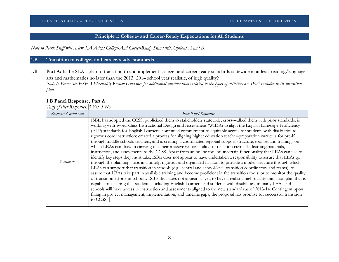## **Principle 1: College- and Career-Ready Expectations for All Students**

*Note to Peers: Staff will review 1.A Adopt College-And Career-Ready Standards, Options A and B.*

## **1.B Transition to college- and career-ready standards**

1.B Part A: Is the SEA's plan to transition to and implement college- and career-ready standards statewide in at least reading/language arts and mathematics no later than the 2013−2014 school year realistic, of high quality? *Note to Peers: See ESEA Flexibility Review Guidance for additional considerations related to the types of activities an SEA includes in its transition plan.*

## **1.B Panel Response, Part A**

*Tally of Peer Responses: 3 Yes, 3 No*

| Response Component | Peer Panel Response                                                                                                                                                                                                                                                                                                                                                                                                                                                                                                                                                                                                                                                                                                                                                                                                                                                                                                                                                                                                                                                                                                                                                                                                                                                                                                                                                                                                                                                                                                                                                                                                                                                                                                                                                                                                                                    |
|--------------------|--------------------------------------------------------------------------------------------------------------------------------------------------------------------------------------------------------------------------------------------------------------------------------------------------------------------------------------------------------------------------------------------------------------------------------------------------------------------------------------------------------------------------------------------------------------------------------------------------------------------------------------------------------------------------------------------------------------------------------------------------------------------------------------------------------------------------------------------------------------------------------------------------------------------------------------------------------------------------------------------------------------------------------------------------------------------------------------------------------------------------------------------------------------------------------------------------------------------------------------------------------------------------------------------------------------------------------------------------------------------------------------------------------------------------------------------------------------------------------------------------------------------------------------------------------------------------------------------------------------------------------------------------------------------------------------------------------------------------------------------------------------------------------------------------------------------------------------------------------|
| Rationale          | ISBE has adopted the CCSS; publicized them to stakeholders statewide; cross-walked them with prior standards: is<br>working with Word-Class Instructional Design and Assessment (WIDA) to align the English Language Proficiency<br>(ELP) standards for English Learners; continued commitment to equitable access for students with disabilities to<br>rigorous core instruction; created a process for aligning higher education teacher-preparation curricula for pre-K<br>through middle schools teachers; and is creating a coordinated regional support structure, tool set and trainings on<br>which LEAs can draw in carrying out their massive responsibility to transition curricula, learning materials,<br>instruction, and assessments to the CCSS. Apart from an online tool of uncertain functionality that LEAs can use to<br>identify key steps they must take, ISBE does not appear to have undertaken a responsibility to assure that LEAs go<br>through the planning steps in a timely, rigorous and organized fashion; to provide a model structure through which<br>LEAs can support that transition in schools (e.g., central and school-level transition coordinators and teams); to<br>assure that LEAs take part in available training and become proficient in the transition tools; or to monitor the quality<br>of transition efforts in schools. ISBE thus does not appear, as yet, to have a realistic high-quality transition plan that is<br>capable of assuring that students, including English Learners and students with disabilities, in many LEAs and<br>schools will have access to instruction and assessments aligned to the new standards as of 2013-14. Contingent upon<br>filling in project management, implementation, and timeline gaps, the proposal has promise for successful transition<br>to CCSS |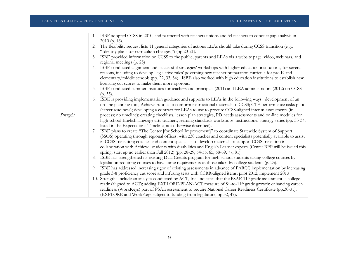|                  | ISBE adopted CCSS in 2010, and partnered with teachers unions and 34 teachers to conduct gap analysis in<br>1.                 |
|------------------|--------------------------------------------------------------------------------------------------------------------------------|
|                  | 2010 (p. 16).                                                                                                                  |
|                  | The flexibility request lists 11 general categories of actions LEAs should take during CCSS transition (e.g.,<br>2.            |
|                  | "Identify plans for curriculum changes,") (pp.20-21).                                                                          |
|                  | ISBE provided information on CCSS to the public, parents and LEAs via a website page, video, webinars, and<br>3.               |
|                  | regional meetings (p. 25)                                                                                                      |
|                  | ISBE conducted alignment and 'successful strategies' workshops with higher education institutions, for several<br>4.           |
|                  | reasons, including to develop 'legislative rules' governing new teacher preparation curricula for pre-K and                    |
|                  | elementary/middle schools (pp. 22, 33, 34). ISBE also worked with high education institutions to establish new                 |
|                  | licensing cut scores to make them more rigorous.                                                                               |
|                  | ISBE conducted summer institutes for teachers and principals (2011) and LEA administrators (2012) on CCSS<br>5.                |
|                  | $(p. 33)$ .                                                                                                                    |
|                  | ISBE is providing implementation guidance and supports to LEAs in the following ways: development of an                        |
|                  | on-line planning tool; Achieve rubrics to conform instructional materials to CCSS; CTE performance tasks pilot                 |
|                  | (career readiness); developing a contract for LEAs to use to procure CCSS-aligned interim assessments (in                      |
| <b>Strengths</b> | process; no timeline); creating checklists, lesson plan strategies, PD needs assessments and on-line modules for               |
|                  | high school English language arts teachers; learning standards workshops; instructional strategy series (pp. 33-34;            |
|                  | listed in the Expectations Timeline, not otherwise described).                                                                 |
|                  | ISBE plans to create "The Center [for School Improvement]" to coordinate Statewide System of Support<br>7.                     |
|                  | (SSOS) operating through regional offices, with 230 coaches and content specialists potentially available to assist            |
|                  | in CCSS transition; coaches and content specialists to develop materials to support CCSS transition in                         |
|                  | collaboration with Achieve, students with disabilities and English Learner experts (Center RFP will be issued this             |
|                  | spring; start up no earlier than Fall 2012) (pp. 28-29, 54-55, 65, 68-69, 77, 81).                                             |
|                  | 8. ISBE has strengthened its existing Dual Credits program for high school students taking college courses by                  |
|                  | legislation requiring courses to have same requirements as those taken by college students (p. 23).                            |
|                  | 9. ISBE has addressed increasing rigor of existing assessments in advance of PARCC implementation by increasing                |
|                  | grade 3-8 proficiency cut score and infusing tests with CCRR-aligned items: pilot 2012; implement 2013                         |
|                  | 10. Strengths include an analysis conducted by ACT, Inc. indicates that the PSAE 11 <sup>th</sup> grade assessment is college- |
|                  | ready (aligned to ACT); adding EXPLORE-PLAN-ACT measure of 8th-to-11th grade growth; enhancing career-                         |
|                  | readiness (WorkKeys) part of PSAE assessment to require National Career Readiness Certificate (pp.30-31).                      |
|                  | (EXPLORE and WorkKeys subject to funding from legislature, pp.32, 47).                                                         |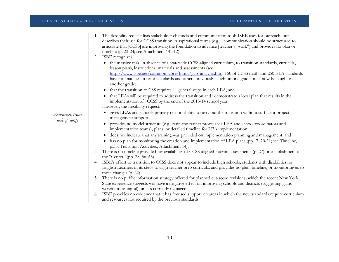|                     | The flexibility request lists stakeholder channels and communication tools ISBE uses for outreach, but<br>1.                                                                   |
|---------------------|--------------------------------------------------------------------------------------------------------------------------------------------------------------------------------|
|                     | describes their use for CCSS transition in aspirational terms (e.g., "communication should be structured to                                                                    |
|                     | articulate that [CCSS] are improving the foundation to advance [teacher's] work") and provides no plan or                                                                      |
|                     | timeline (p. 23-24; see Attachment 14:512).                                                                                                                                    |
|                     | ISBE recognizes:<br>2.                                                                                                                                                         |
|                     | • the massive task, in absence of a statewide CCSS-aligned curriculum, to transition standards, curricula,                                                                     |
|                     | lesson plans, instructional materials and assessments (see                                                                                                                     |
|                     | http://www.isbe.net/common_core/htmls/gap_analysis.htm: 150 of CCSS math and 250 ELA standards                                                                                 |
|                     | have no matches in prior standards and others previously taught in one grade must now be taught in<br>another grade),                                                          |
|                     | that the transition to CSS requires 11 general steps in each LEA, and<br>$\bullet$                                                                                             |
|                     | that LEAs will be required to address the transition and "demonstrate a local plan that results in the<br>implementation of" CCSS by the end of the 2013-14 school year.       |
|                     | However, the flexibility request:                                                                                                                                              |
|                     | • gives LEAs and schools primary responsibility to carry out the transition without sufficient project                                                                         |
| Weaknesses, issues, | management support;                                                                                                                                                            |
| lack of clarity     | provides no model structure (e.g., train-the-trainer process via LEA and school coordinators and<br>implementation teams), plans, or detailed timeline for LEA implementation; |
|                     | does not indicate that any training was provided on implementation planning and management; and                                                                                |
|                     | has no plan for monitoring the creation and implementation of LEA plans (pp.17, 20-21; see Timeline,<br>$\bullet$<br>p.33; Transition Activities, Attachment 14).              |
|                     | There is no timeline provided for availability of CCSS-aligned interim assessments (p. 27) or establishment of<br>3.                                                           |
|                     | the "Center" (pp. 28, 56, 65).                                                                                                                                                 |
|                     | ISBE's effort to transition to CCSS does not appear to include high schools, students with disabilities, or<br>4.                                                              |
|                     | English Learners in its steps to align teacher prep curricula; and provides no plan, timeline, or monitoring as to                                                             |
|                     | these changes (p. 22).                                                                                                                                                         |
|                     | There is no public information strategy offered for planned cut-score revisions, which the recent New York<br>5.                                                               |
|                     | State experience suggests will have a negative effect on improving schools and districts (suggesting gains                                                                     |
|                     | weren't meaningful), unless correctly managed.                                                                                                                                 |
|                     | ISBE provides no evidence that it has focused support on areas in which the new standards require curriculum<br>6.                                                             |
|                     | and resources not required by the previous standards.                                                                                                                          |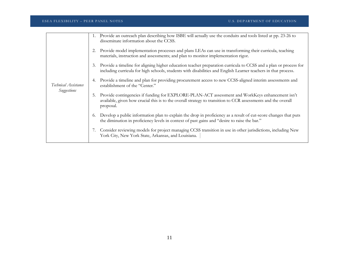| Technical Assistance<br>Suggestions | Provide an outreach plan describing how ISBE will actually use the conduits and tools listed at pp. 23-26 to<br>1.<br>disseminate information about the CCSS.                                                                            |
|-------------------------------------|------------------------------------------------------------------------------------------------------------------------------------------------------------------------------------------------------------------------------------------|
|                                     | Provide model implementation processes and plans LEAs can use in transforming their curricula, teaching<br>2.<br>materials, instruction and assessments; and plan to monitor implementation rigor.                                       |
|                                     | Provide a timeline for aligning higher education teacher preparation curricula to CCSS and a plan or process for<br>3.<br>including curricula for high schools, students with disabilities and English Learner teachers in that process. |
|                                     | Provide a timeline and plan for providing procurement access to new CCSS-aligned interim assessments and<br>establishment of the "Center."                                                                                               |
|                                     | Provide contingencies if funding for EXPLORE-PLAN-ACT assessment and WorkKeys enhancement isn't<br>5.<br>available, given how crucial this is to the overall strategy to transition to CCR assessments and the overall<br>proposal.      |
|                                     | Develop a public information plan to explain the drop in proficiency as a result of cut-score changes that puts<br>6.<br>the diminution in proficiency levels in context of past gains and "desire to raise the bar."                    |
|                                     | Consider reviewing models for project managing CCSS transition in use in other jurisdictions, including New<br>7.<br>York City, New York State, Arkansas, and Louisiana.                                                                 |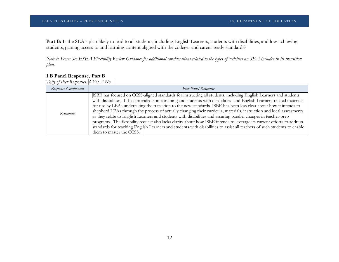Part B: Is the SEA's plan likely to lead to all students, including English Learners, students with disabilities, and low-achieving students, gaining access to and learning content aligned with the college- and career-ready standards?

*Note to Peers: See ESEA Flexibility Review Guidance for additional considerations related to the types of activities an SEA includes in its transition plan.*

## **1.B Panel Response, Part B**

*Tally of Peer Responses: 4 Yes, 2 No* 

| Response Component | Peer Panel Response                                                                                                                                                                                                                                                                                                                                                                                                                                                                                                                                                                                                                                                                                                                                                                                                                                                                           |
|--------------------|-----------------------------------------------------------------------------------------------------------------------------------------------------------------------------------------------------------------------------------------------------------------------------------------------------------------------------------------------------------------------------------------------------------------------------------------------------------------------------------------------------------------------------------------------------------------------------------------------------------------------------------------------------------------------------------------------------------------------------------------------------------------------------------------------------------------------------------------------------------------------------------------------|
| Rationale          | ISBE has focused on CCSS-aligned standards for instructing all students, including English Learners and students<br>with disabilities. It has provided some training and students with disabilities- and English Learners-related materials<br>for use by LEAs undertaking the transition to the new standards. ISBE has been less clear about how it intends to<br>shepherd LEAs through the process of actually changing their curricula, materials, instruction and local assessments<br>as they relate to English Learners and students with disabilities and assuring parallel changes in teacher-prep<br>programs. The flexibility request also lacks clarity about how ISBE intends to leverage its current efforts to address<br>standards for teaching English Learners and students with disabilities to assist all teachers of such students to enable<br>them to master the CCSS. |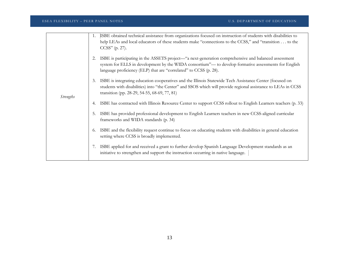|                  | 1.         | ISBE obtained technical assistance from organizations focused on instruction of students with disabilities to<br>help LEAs and local educators of these students make "connections to the CCSS," and "transition to the<br>$CCSS''$ (p. 27).                                      |
|------------------|------------|-----------------------------------------------------------------------------------------------------------------------------------------------------------------------------------------------------------------------------------------------------------------------------------|
|                  |            | ISBE is participating in the ASSETS project—"a next-generation comprehensive and balanced assessment<br>system for ELLS in development by the WIDA consortium"— to develop formative assessments for English<br>language proficiency (ELP) that are "correlated" to CCSS (p. 28). |
|                  | 3.         | ISBE is integrating education cooperatives and the Illinois Statewide Tech Assistance Center (focused on<br>students with disabilities) into "the Center" and SSOS which will provide regional assistance to LEAs in CCSS<br>transition (pp. 28-29, 54-55, 68-69, 77, 81)         |
| <i>Strengths</i> |            | ISBE has contracted with Illinois Resource Center to support CCSS rollout to English Learners teachers (p. 33)                                                                                                                                                                    |
|                  | 5.         | ISBE has provided professional development to English Learners teachers in new CCSS-aligned curricular<br>frameworks and WIDA standards (p. 34)                                                                                                                                   |
|                  | 6.         | ISBE and the flexibility request continue to focus on educating students with disabilities in general education<br>setting where CCSS is broadly implemented.                                                                                                                     |
|                  | $\gamma$ . | ISBE applied for and received a grant to further develop Spanish Language Development standards as an<br>initiative to strengthen and support the instruction occurring in native language.                                                                                       |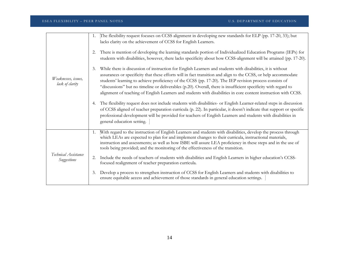|                                        | The flexibility request focuses on CCSS alignment in developing new standards for ELP (pp. 17-20, 33); but<br>1.<br>lacks clarity on the achievement of CCSS for English Learners.<br>There is mention of developing the learning standards portion of Individualized Education Programs (IEPs) for<br>2.                                                                                                                                                                                                                                                                             |
|----------------------------------------|---------------------------------------------------------------------------------------------------------------------------------------------------------------------------------------------------------------------------------------------------------------------------------------------------------------------------------------------------------------------------------------------------------------------------------------------------------------------------------------------------------------------------------------------------------------------------------------|
|                                        | students with disabilities, however, there lacks specificity about how CCSS-alignment will be attained (pp. 17-20).                                                                                                                                                                                                                                                                                                                                                                                                                                                                   |
| Weaknesses, issues,<br>lack of clarity | While there is discussion of instruction for English Learners and students with disabilities, it is without<br>3.<br>assurances or specificity that these efforts will in fact transition and align to the CCSS, or help accommodate<br>students' learning to achieve proficiency of the CCSS (pp. 17-20). The IEP revision process consists of<br>"discussions" but no timeline or deliverables (p.20). Overall, there is insufficient specificity with regard to<br>alignment of teaching of English Learners and students with disabilities in core content instruction with CCSS. |
|                                        | The flexibility request does not include students with disabilities- or English Learner-related steps in discussion<br>4.<br>of CCSS aligned of teacher preparation curricula (p. 22). In particular, it doesn't indicate that support or specific<br>professional development will be provided for teachers of English Learners and students with disabilities in<br>general education setting.                                                                                                                                                                                      |
|                                        | With regard to the instruction of English Learners and students with disabilities, develop the process through<br>1.<br>which LEAs are expected to plan for and implement changes to their curricula, instructional materials,<br>instruction and assessments; as well as how ISBE will assure LEA proficiency in these steps and in the use of<br>tools being provided; and the monitoring of the effectiveness of the transition.                                                                                                                                                   |
| Technical Assistance<br>Suggestions    | Include the needs of teachers of students with disabilities and English Learners in higher education's CCSS-<br>2.<br>focused realignment of teacher preparation curricula.                                                                                                                                                                                                                                                                                                                                                                                                           |
|                                        | Develop a process to strengthen instruction of CCSS for English Learners and students with disabilities to<br>3.<br>ensure equitable access and achievement of those standards in general education settings.                                                                                                                                                                                                                                                                                                                                                                         |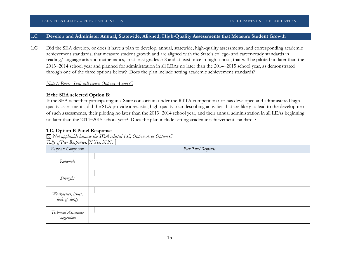## **1.C Develop and Administer Annual, Statewide, Aligned, High-Quality Assessments that Measure Student Growth**

**1.C** Did the SEA develop, or does it have a plan to develop, annual, statewide, high-quality assessments, and corresponding academic achievement standards, that measure student growth and are aligned with the State's college- and career-ready standards in reading/language arts and mathematics, in at least grades 3-8 and at least once in high school, that will be piloted no later than the 2013−2014 school year and planned for administration in all LEAs no later than the 2014−2015 school year, as demonstrated through one of the three options below? Does the plan include setting academic achievement standards?

## *Note to Peers: Staff will review Options A and C.*

## **If the SEA selected Option B:**

If the SEA is neither participating in a State consortium under the RTTA competition nor has developed and administered highquality assessments, did the SEA provide a realistic, high-quality plan describing activities that are likely to lead to the development of such assessments, their piloting no later than the 2013−2014 school year, and their annual administration in all LEAs beginning no later than the 2014−2015 school year? Does the plan include setting academic achievement standards?

## **1.C, Option B Panel Response**

*Not applicable because the SEA selected 1.C, Option A or Option C Tally of Peer Responses: X Yes, X No*

| Response Component                     | Peer Panel Response |
|----------------------------------------|---------------------|
| Rationale                              |                     |
| <b>Strengths</b>                       |                     |
| Weaknesses, issues,<br>lack of clarity |                     |
| Technical Assistance<br>Suggestions    |                     |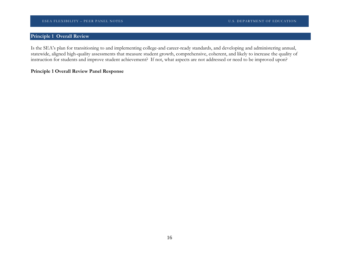## **Principle 1 Overall Review**

Is the SEA's plan for transitioning to and implementing college-and career-ready standards, and developing and administering annual, statewide, aligned high-quality assessments that measure student growth, comprehensive, coherent, and likely to increase the quality of instruction for students and improve student achievement? If not, what aspects are not addressed or need to be improved upon?

## **Principle 1 Overall Review Panel Response**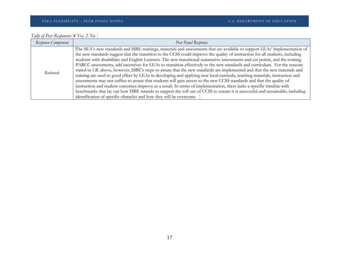| Tally of Peer Responses: $4$ Yes, $2$ No |  |  |  |  |
|------------------------------------------|--|--|--|--|

| Response Component | Peer Panel Response                                                                                                                                                                                                                                                                                                                                                                                                                                                                                                                                                                                                                                                                                                                                                                                                                                                                                                                                                                                                                                                                                                                                                                                                                                  |  |  |  |
|--------------------|------------------------------------------------------------------------------------------------------------------------------------------------------------------------------------------------------------------------------------------------------------------------------------------------------------------------------------------------------------------------------------------------------------------------------------------------------------------------------------------------------------------------------------------------------------------------------------------------------------------------------------------------------------------------------------------------------------------------------------------------------------------------------------------------------------------------------------------------------------------------------------------------------------------------------------------------------------------------------------------------------------------------------------------------------------------------------------------------------------------------------------------------------------------------------------------------------------------------------------------------------|--|--|--|
| Rationale          | The SEA's new standards and ISBE trainings, materials and assessments that are available to support LEAs' implementation of<br>the new standards suggest that the transition to the CCSS could improve the quality of instruction for all students, including<br>students with disabilities and English Learners. The new transitional summative assessments and cut points, and the coming<br>PARCC assessments, add incentives for LEAs to transition effectively to the new standards and curriculum. For the reasons<br>stated in 1.B. above, however, ISBE's steps to assure that the new standards are implemented and that the new materials and<br>training are used to good effect by LEAs in developing and applying new local curricula, teaching materials, instruction and<br>assessments may not suffice to assure that students will gain access to the new CCSS standards and that the quality of<br>instruction and student outcomes improve as a result. In terms of implementation, there lacks a specific timeline with<br>benchmarks that lay out how ISBE intends to support the roll out of CCSS to ensure it is successful and sustainable, including<br>identification of specific obstacles and how they will be overcome. |  |  |  |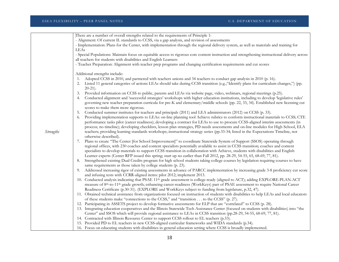|                  | There are a number of overall strengths related to the requirements of Principle 1:                                                                    |
|------------------|--------------------------------------------------------------------------------------------------------------------------------------------------------|
|                  | - Alignment: Of current IL standards to CCSS, via a gap analysis, and revision of assessments                                                          |
|                  | - Implementation: Plans for the Center, with implementation through the regional delivery system, as well as materials and training for                |
|                  | LEAs                                                                                                                                                   |
|                  | - Special Populations: Maintain focus on equitable access to rigorous core content instruction and strengthening instructional delivery across         |
|                  | all teachers for students with disabilities and English Learners                                                                                       |
|                  | - Teacher Preparation: Alignment with teacher prep programs and changing certification requirements and cut scores                                     |
|                  |                                                                                                                                                        |
|                  | Additional strengths include:                                                                                                                          |
|                  | Adopted CCSS in 2010, and partnered with teachers unions and 34 teachers to conduct gap analysis in 2010 (p. 16).<br>1.                                |
|                  | Listed 11 general categories of actions LEAs should take during CCSS transition (e.g., "Identify plans for curriculum changes,") (pp.<br>2.            |
|                  | $20-21$ ).                                                                                                                                             |
|                  | Provided information on CCSS to public, parents and LEAs via website page, video, webinars, regional meetings (p.25).<br>3.                            |
|                  | Conducted alignment and 'successful strategies' workshops with higher education institutions, including to develop 'legislative rules'<br>4.           |
|                  | governing new teacher preparation curricula for pre-K and elementary/middle schools (pp. 22, 33, 34). Established new licensing cut                    |
|                  | scores to make them more rigorous.                                                                                                                     |
|                  | Conducted summer institutes for teachers and principals (2011) and LEA administrators (2012) on CCSS (p. 33).<br>5.                                    |
|                  | Providing implementation supports to LEAs: on-line planning tool Achieve rubrics to conform instructional materials to CCSS; CTE<br>6.                 |
|                  | performance tasks pilot (career readiness); developing a contract for LEAs to use to procure CCSS-aligned interim assessments (in                      |
|                  | process; no timeline); developing checklists, lesson plan strategies, PD needs assessments and on-line modules for High School, ELA                    |
| <b>Strengths</b> | teachers; providing learning standards workshops; instructional strategy series (pp.33-34; listed in the Expectations Timeline, not                    |
|                  | otherwise described).                                                                                                                                  |
|                  | 7. Plans to create "The Center [for School Improvement]" to coordinate Statewide System of Support (SSOS) operating through                            |
|                  | regional offices, with 230 coaches and content specialists potentially available to assist in CCSS transition; coaches and content                     |
|                  | specialists to develop materials to support CCSS transition in collaboration with Achieve, students with disabilities and English                      |
|                  | Learner experts (Center RFP issued this spring; start up no earlier than Fall 2012, pp. 28-29, 54-55, 65, 68-69, 77, 81).                              |
|                  | Strengthened existing Dual Credits program for high school students taking college courses by legislation requiring courses to have<br>8.              |
|                  | same requirements as those taken by college students (p. 23).                                                                                          |
|                  | Addressed increasing rigor of existing assessments in advance of PARCC implementation by increasing grade 3-8 proficiency cut score<br>9.              |
|                  | and infusing tests with CCRR-aligned items: pilot 2012; implement 2013.                                                                                |
|                  | 10. Conducted analysis indicating that PSAE 11 <sup>th</sup> grade assessment is college-ready (aligned to ACT); adding EXPLORE-PLAN-ACT               |
|                  | measure of 8 <sup>th</sup> -to-11 <sup>th</sup> grade growth; enhancing career-readiness (WorkKeys) part of PSAE assessment to require National Career |
|                  | Readiness Certificate (p.30-31). (EXPLORE and WorkKeys subject to funding from legislature, p.32, 47).                                                 |
|                  | 11. Obtained technical assistance from organizations focused on instruction of students with disabilities to help LEAs and local educators             |
|                  | of these students make "connections to the CCSS," and "transition to the CCSS" (p. 27).                                                                |
|                  | 12. Participating in ASSETS project to develop formative assessments for ELP that are "correlated" to CCSS (p. 28).                                    |
|                  | 13. Integrating education cooperatives and the Illinois Statewide Tech Assistance Center (focused on students with disabilities) into "the             |
|                  | Center" and SSOS which will provide regional assistance to LEAs in CCSS transition (pp.28-29, 54-55, 68-69, 77, 81).                                   |
|                  | 14. Contracted with Illinois Resource Center to support CCSS rollout to EL teachers (p.33).                                                            |
|                  | 15. Provided PD to EL teachers in new CCSS-aligned curricular frameworks and WIDA standards (p.34).                                                    |
|                  | 16. Focus on educating students with disabilities in general education setting where CCSS is broadly implemented.                                      |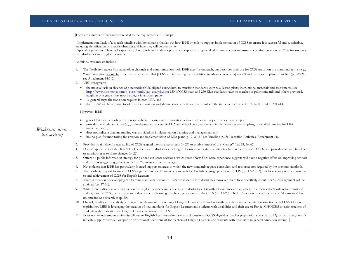*Weaknesses, issues, lack of clarity* There are a number of weaknesses related to the requirements of Principle 1: - Implementation: Lack of a specific timeline with benchmarks that lay out how ISBE intends to support implementation of CCSS to ensure it is successful and sustainable, including identification of specific obstacles and how they will be overcome. - Special Populations: There lacks specificity about professional development and supports for general education teachers to ensure successful transition of CCSS for students with disabilities and English Learners. Additional weaknesses include: 1. The flexibility request lists stakeholder channels and communication tools ISBE uses for outreach, but describes their use for CCSS transition in aspirational terms (e.g., "communication should be structured to articulate that [CCSS] are improving the foundation to advance [teacher's] work") and provides no plan or timeline (pp. 23-24; see Attachment 14:512). 2. ISBE recognizes: • the massive task, in absence of a statewide CCSS-aligned curriculum, to transition standards, curricula, lesson plans, instructional materials and assessments (see [http://www.isbe.net/common\\_core/htmls/gap\\_analysis.htm:](http://www.isbe.net/common_core/htmls/gap_analysis.htm) 150 of CCSS math and 250 ELA standards have no matches in prior standards and others previously taught in one grade must now be taught in another grade), • 11 general steps the transition requires in each LEA, and • that LEAs' will be required to address the transition and 'demonstrate a local plan that results in the implementation of' CCSS by the end of 2013-14. However, ISBE • gives LEAs and schools primary responsibility to carry out the transition without sufficient project management support; • provides no model structure (e.g., train-the-trainer process via LEA and school coordinators and implementation teams), plans, or detailed timeline for LEA implementation; • does not indicate that any training was provided on implementation planning and management; and has no plan for monitoring the creation and implementation of LEA plans (p.17, 20-21; see Timeline, p.33; Transition Activities, Attachment 14). 3. Provides no timeline for availability of CCSS-aligned interim assessments (p. 27) or establishment of the "Center" (pp. 28, 56, 65). 4. Doesn't appear to include High School, students with disabilities, or English Learners in its steps to align teacher prep curricula to CCSS; and provides no plan, timeline, or monitoring as to these changes (p. 22). 5. Offers no public information strategy for planned cut-score revisions, which recent New York State experience suggests will have a negative effect on improving schools and districts (suggesting gains weren't "real"), unless correctly managed. 6. No evidence that ISBE has particularly focused support on areas in which the new standards require curriculum and resources not required by the previous standards. 7. The flexibility request focuses on CCSS alignment in developing new standards for English language proficiency (ELP) (pp. 17-20, 33); but lacks clarity on the transition to and achievement of CCSS for English Learners. 8. There is mention of developing the learning standards portion of IEPs for students with disabilities, however, there lacks specificity about how CCSS-alignment will be attained (pp. 17-20). 9. While there is discussion of instruction for English Learners and students with disabilities, it is without assurances or specificity that these efforts will in fact transition and align to the CCSS, or help accommodate students' learning to achieve proficiency of the CCSS (pp. 17-20). The IEP revision process consists of "discussions" but no timeline or deliverables (p. 20). 10. Overall, insufficient specificity with regard to alignment of teaching of English Learners and students with disabilities in core content instruction with CCSS. Does not explain how ISBE is leveraging the creation of new standards for English Learners and students with disabilities and their use of Project CHOICES to assist teachers of students with disabilities and English Learners to master the CCSS. 11. Does not include students with disabilities- or English Learners-related steps in discussion of CCSS aligned of teacher preparation curricula (p. 22). In particular, doesn't indicate support provided or specific professional development for teachers of English Learners and students with disabilities in general education setting.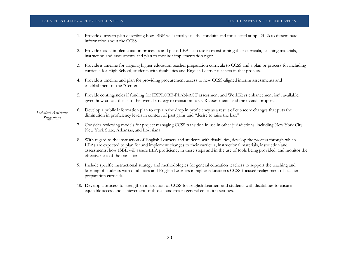|                                     | 1. | Provide outreach plan describing how ISBE will actually use the conduits and tools listed at pp. 23-26 to disseminate<br>information about the CCSS.                                                                                                                                                                                                                                                     |
|-------------------------------------|----|----------------------------------------------------------------------------------------------------------------------------------------------------------------------------------------------------------------------------------------------------------------------------------------------------------------------------------------------------------------------------------------------------------|
|                                     | 2. | Provide model implementation processes and plans LEAs can use in transforming their curricula, teaching materials,<br>instruction and assessments and plan to monitor implementation rigor.                                                                                                                                                                                                              |
|                                     | 3. | Provide a timeline for aligning higher education teacher preparation curricula to CCSS and a plan or process for including<br>curricula for High School, students with disabilities and English Learner teachers in that process.                                                                                                                                                                        |
|                                     | 4. | Provide a timeline and plan for providing procurement access to new CCSS-aligned interim assessments and<br>establishment of the "Center."                                                                                                                                                                                                                                                               |
|                                     | 5. | Provide contingencies if funding for EXPLORE-PLAN-ACT assessment and WorkKeys enhancement isn't available,<br>given how crucial this is to the overall strategy to transition to CCR assessments and the overall proposal.                                                                                                                                                                               |
| Technical Assistance<br>Suggestions | 6. | Develop a public information plan to explain the drop in proficiency as a result of cut-score changes that puts the<br>diminution in proficiency levels in context of past gains and "desire to raise the bar."                                                                                                                                                                                          |
|                                     | 7. | Consider reviewing models for project managing CCSS transition in use in other jurisdictions, including New York City,<br>New York State, Arkansas, and Louisiana.                                                                                                                                                                                                                                       |
|                                     | 8. | With regard to the instruction of English Learners and students with disabilities, develop the process through which<br>LEAs are expected to plan for and implement changes to their curricula, instructional materials, instruction and<br>assessments; how ISBE will assure LEA proficiency in these steps and in the use of tools being provided; and monitor the<br>effectiveness of the transition. |
|                                     | 9. | Include specific instructional strategy and methodologies for general education teachers to support the teaching and<br>learning of students with disabilities and English Learners in higher education's CCSS-focused realignment of teacher<br>preparation curricula.                                                                                                                                  |
|                                     |    | 10. Develop a process to strengthen instruction of CCSS for English Learners and students with disabilities to ensure<br>equitable access and achievement of those standards in general education settings.                                                                                                                                                                                              |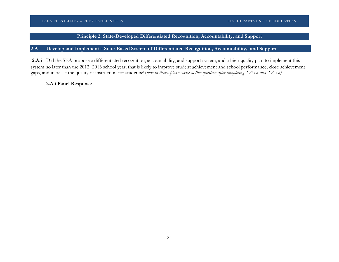## **Principle 2: State-Developed Differentiated Recognition, Accountability, and Support**

## **2.A Develop and Implement a State-Based System of Differentiated Recognition, Accountability, and Support**

**2.A.i** Did the SEA propose a differentiated recognition, accountability, and support system, and a high-quality plan to implement this system no later than the 2012−2013 school year, that is likely to improve student achievement and school performance, close achievement gaps, and increase the quality of instruction for students? (*note to Peers, please write to this question after completing 2.A.i.a and 2.A.i.b)*

## **2.A.i Panel Response**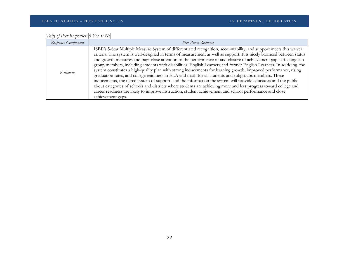| Tally of Peer Responses: 6 Yes, 0 No |  |
|--------------------------------------|--|

| Response Component | Peer Panel Response                                                                                                                                                                                                                                                                                                                                                                                                                                                                                                                                                                                                                                                                                                                                                                                                                                                                                                                                                                                                                                                                           |
|--------------------|-----------------------------------------------------------------------------------------------------------------------------------------------------------------------------------------------------------------------------------------------------------------------------------------------------------------------------------------------------------------------------------------------------------------------------------------------------------------------------------------------------------------------------------------------------------------------------------------------------------------------------------------------------------------------------------------------------------------------------------------------------------------------------------------------------------------------------------------------------------------------------------------------------------------------------------------------------------------------------------------------------------------------------------------------------------------------------------------------|
| Rationale          | ISBE's 5-Star Multiple Measure System of differentiated recognition, accountability, and support meets this waiver<br>criteria. The system is well-designed in terms of measurement as well as support. It is nicely balanced between status<br>and growth measures and pays close attention to the performance of and closure of achievement gaps affecting sub-<br>group members, including students with disabilities, English Learners and former English Learners. In so doing, the<br>system constitutes a high-quality plan with strong inducements for learning growth, improved performance, rising<br>graduation rates, and college readiness in ELA and math for all students and subgroups members. These<br>inducements, the tiered system of support, and the information the system will provide educators and the public<br>about categories of schools and districts where students are achieving more and less progress toward college and<br>career readiness are likely to improve instruction, student achievement and school performance and close<br>achievement gaps. |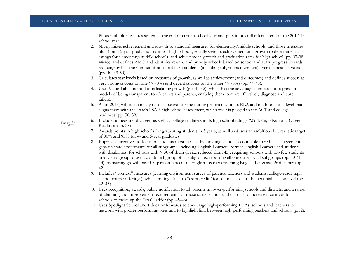|                  | Pilots multiple measures system at the end of current school year and puts it into full effect at end of the 2012-13                                                                                                        |
|------------------|-----------------------------------------------------------------------------------------------------------------------------------------------------------------------------------------------------------------------------|
|                  | school year.                                                                                                                                                                                                                |
|                  | Nicely mixes achievement and growth-to-standard measures for elementary/middle schools, and those measures<br>2.                                                                                                            |
|                  | plus 4- and 5-year graduation rates for high schools; equally weights achievement and growth to determine star                                                                                                              |
|                  | ratings for elementary/middle schools, and achievement, growth and graduation rates for high school (pp. 37-38,                                                                                                             |
|                  | 44-45); and defines AMO and identifies reward and priority schools based on school and LEA progress towards<br>reducing by half the number of non-proficient students (including subgroups members) over the next six years |
|                  | (рр. 40, 49-50).                                                                                                                                                                                                            |
|                  | Calculates star levels based on measures of growth, as well as achievement (and outcomes) and defines success as                                                                                                            |
|                  | very strong success on one ( $> 90\%$ ) and decent success on the other ( $> 75\%$ ) (pp. 44-45).                                                                                                                           |
|                  | Uses Value Table method of calculating growth (pp. 41-42), which has the advantage compared to regression<br>4.                                                                                                             |
|                  | models of being transparent to educators and parents, enabling them to more effectively diagnose and cure                                                                                                                   |
|                  | failure.                                                                                                                                                                                                                    |
|                  | As of 2013, will substantially raise cut scores for measuring proficiency on its ELA and math tests to a level that                                                                                                         |
|                  | aligns them with the state's PSAE high school assessment, which itself is pegged to the ACT and college                                                                                                                     |
|                  | readiness (pp. $30, 39$ ).                                                                                                                                                                                                  |
| <b>Strengths</b> | Includes a measure of career- as well as college readiness in its high school ratings (WorkKeys/National Career<br>6.                                                                                                       |
|                  | Readiness) (p. 38)                                                                                                                                                                                                          |
|                  | Awards points to high schools for graduating students in 5 years, as well as 4; sets an ambitious but realistic target<br>of 90% and 95% for 4- and 5-year graduates.                                                       |
|                  | Improves incentives to focus on students most in need by: holding schools accountable to reduce achievement<br>8.                                                                                                           |
|                  | gaps on state assessments for all subgroups, including English Learners, former English Learners and students                                                                                                               |
|                  | with disabilities, for schools with $>$ 30 of them (n size reduced from 45); requiring schools with too few students                                                                                                        |
|                  | in any sub-group to use a combined-group of all subgroups; reporting all outcomes by all subgroups (pp. 40-41,                                                                                                              |
|                  | 43); measuring growth based in part on percent of English Learners reaching English Language Proficiency (pp.                                                                                                               |
|                  | $(42)$ .                                                                                                                                                                                                                    |
|                  | Includes "context" measures (learning environment survey of parents, teachers and students; college-ready high<br>9.                                                                                                        |
|                  | school course offerings), while limiting effect to "extra credit" for schools close to the next highest star level (pp.                                                                                                     |
|                  | $42, 45$ ).<br>10. Uses recognition, awards, public notification to all parents in lower-performing schools and districts, and a range                                                                                      |
|                  | of planning and improvement requirements for those same schools and districts to increase incentives for                                                                                                                    |
|                  | schools to move up the "star" ladder (pp. 45-46).                                                                                                                                                                           |
|                  | 11. Uses Spotlight School and Educator Rewards to encourage high-performing LEAs, schools and teachers to                                                                                                                   |
|                  | network with poorer performing ones and to highlight link between high-performing teachers and schools (p.52).                                                                                                              |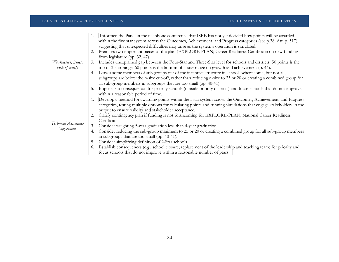|                                     | Informed the Panel in the telephone conference that ISBE has not yet decided how points will be awarded<br>1.         |  |  |  |  |  |
|-------------------------------------|-----------------------------------------------------------------------------------------------------------------------|--|--|--|--|--|
| Weaknesses, issues,                 | within the five star system across the Outcomes, Achievement, and Progress categories (see p.38, Att. p. 517),        |  |  |  |  |  |
|                                     | suggesting that unexpected difficulties may arise as the system's operation is simulated.                             |  |  |  |  |  |
|                                     | Premises two important pieces of the plan (EXPLORE-PLAN; Career Readiness Certificate) on new funding                 |  |  |  |  |  |
|                                     | from legislature (pp. 32, 47).                                                                                        |  |  |  |  |  |
|                                     | Includes unexplained gap between the Four-Star and Three-Star level for schools and districts: 50 points is the<br>3. |  |  |  |  |  |
| lack of clarity                     | top of 3-star range; 60 points is the bottom of 4-star range on growth and achievement (p. 44).                       |  |  |  |  |  |
|                                     | Leaves some members of sub-groups out of the incentive structure in schools where some, but not all,<br>4.            |  |  |  |  |  |
|                                     | subgroups are below the n-size cut-off, rather than reducing n-size to 25 or 20 or creating a combined group for      |  |  |  |  |  |
|                                     | all sub-group members in subgroups that are too small (pp. 40-41).                                                    |  |  |  |  |  |
|                                     | Imposes no consequences for priority schools (outside priority districts) and focus schools that do not improve<br>5. |  |  |  |  |  |
|                                     | within a reasonable period of time.                                                                                   |  |  |  |  |  |
|                                     | Develop a method for awarding points within the 5star system across the Outcomes, Achievement, and Progress           |  |  |  |  |  |
|                                     | categories, testing multiple options for calculating points and running simulations that engage stakeholders in the   |  |  |  |  |  |
|                                     | output to ensure validity and stakeholder acceptance.                                                                 |  |  |  |  |  |
|                                     | Clarify contingency plan if funding is not forthcoming for EXPLORE-PLAN; National Career Readiness                    |  |  |  |  |  |
| Technical Assistance<br>Suggestions | Certificate                                                                                                           |  |  |  |  |  |
|                                     | Consider weighting 5-year graduation less than 4-year graduation.<br>3.                                               |  |  |  |  |  |
|                                     | Consider reducing the sub-group minimum to 25 or 20 or creating a combined group for all sub-group members<br>4.      |  |  |  |  |  |
|                                     | in subgroups that are too small (pp. 40-41).                                                                          |  |  |  |  |  |
|                                     | Consider simplifying definition of 2-Star schools.<br>5.                                                              |  |  |  |  |  |
|                                     | Establish consequences (e.g., school closure; replacement of the leadership and teaching team) for priority and<br>6. |  |  |  |  |  |
|                                     | focus schools that do not improve within a reasonable number of years.                                                |  |  |  |  |  |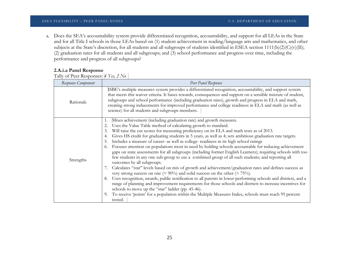a. Does the SEA's accountability system provide differentiated recognition, accountability, and support for all LEAs in the State and for all Title I schools in those LEAs based on (1) student achievement in reading/language arts and mathematics, and other subjects at the State's discretion, for all students and all subgroups of students identified in ESEA section 1111(b)(2)(C)(v)(II); (2) graduation rates for all students and all subgroups; and (3) school performance and progress over time, including the performance and progress of all subgroups?

## **2.A.i.a Panel Response**

Tally of Peer Responses: *4 Yes, 2 No*

| Response Component | Peer Panel Response                                                                                                                                                                                                                                                                                                                                                                                                                                                                                                                                                                                                                                                                                                                                                                                                                                                                                                                                                                                                                                                                                                                                                                                                                                                                                                                                                                                                                                            |  |  |
|--------------------|----------------------------------------------------------------------------------------------------------------------------------------------------------------------------------------------------------------------------------------------------------------------------------------------------------------------------------------------------------------------------------------------------------------------------------------------------------------------------------------------------------------------------------------------------------------------------------------------------------------------------------------------------------------------------------------------------------------------------------------------------------------------------------------------------------------------------------------------------------------------------------------------------------------------------------------------------------------------------------------------------------------------------------------------------------------------------------------------------------------------------------------------------------------------------------------------------------------------------------------------------------------------------------------------------------------------------------------------------------------------------------------------------------------------------------------------------------------|--|--|
| Rationale          | ISBE's multiple measures system provides a differentiated recognition, accountability, and support system<br>that meets this waiver criteria. It bases rewards, consequences and support on a sensible mixture of student,<br>subgroups and school performance (including graduation rates), growth and progress in ELA and math,<br>creating strong inducements for improved performance and college readiness in ELA and math (as well as<br>science) for all students and subgroups members.                                                                                                                                                                                                                                                                                                                                                                                                                                                                                                                                                                                                                                                                                                                                                                                                                                                                                                                                                                |  |  |
| Strengths          | Mixes achievement (including graduation rate) and growth measures.<br>1.<br>Uses the Value Table method of calculating growth to standard.<br>2.<br>Will raise the cut scores for measuring proficiency on its ELA and math tests as of 2013.<br>3.<br>Gives HS credit for graduating students in 5 years, as well as 4; sets ambitious graduation rate targets.<br>4.<br>Includes a measure of career- as well as college- readiness in its high school ratings<br>5.<br>Focuses attention on populations most in need by holding schools accountable for reducing achievement<br>6.<br>gaps on state assessments for all subgroups (including former English Learners); requiring schools with too<br>few students in any one sub-group to use a combined group of all such students; and reporting all<br>outcomes by all subgroups.<br>Calculates "star" levels based on mix of growth and achievement/graduation rates and defines success as<br>very strong success on one ( $> 90\%$ ) and solid success on the other ( $> 75\%$ ).<br>Uses recognition, awards, public notification to all parents in lower-performing schools and districts, and a<br>8.<br>range of planning and improvement requirements for those schools and districts to increase incentives for<br>schools to move up the "star" ladder (pp. 45-46).<br>To receive 'points' for a population within the Multiple Measures Index, schools must reach 95 percent<br>9.<br>tested. |  |  |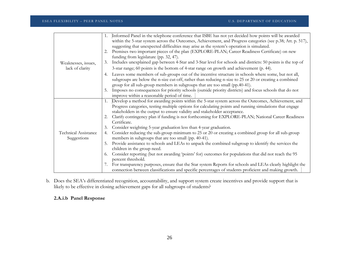|                                            | Informed Panel in the telephone conference that ISBE has not yet decided how points will be awarded<br>1.<br>within the 5-star system across the Outcomes, Achievement, and Progress categories (see p.38; Att. p. 517), |
|--------------------------------------------|--------------------------------------------------------------------------------------------------------------------------------------------------------------------------------------------------------------------------|
|                                            | suggesting that unexpected difficulties may arise as the system's operation is simulated.                                                                                                                                |
|                                            | Premises two important pieces of the plan (EXPLORE-PLAN; Career Readiness Certificate) on new<br>2.<br>funding from legislature (pp. 32, 47).                                                                            |
| Weaknesses, issues,                        | Includes unexplained gap between 4-Star and 3-Star level for schools and districts: 50 points is the top of<br>3.                                                                                                        |
| lack of clarity                            | 3-star range; 60 points is the bottom of 4-star range on growth and achievement (p. 44).                                                                                                                                 |
|                                            | Leaves some members of sub-groups out of the incentive structure in schools where some, but not all,<br>4.<br>subgroups are below the n-size cut-off, rather than reducing n-size to 25 or 20 or creating a combined     |
|                                            | group for all sub-group members in subgroups that are too small (pp.40-41).<br>Imposes no consequences for priority schools (outside priority districts) and focus schools that do not<br>5.                             |
|                                            | improve within a reasonable period of time.                                                                                                                                                                              |
|                                            | Develop a method for awarding points within the 5-star system across the Outcomes, Achievement, and<br>1.                                                                                                                |
|                                            | Progress categories, testing multiple options for calculating points and running simulations that engage                                                                                                                 |
|                                            | stakeholders in the output to ensure validity and stakeholder acceptance.                                                                                                                                                |
|                                            | Clarify contingency plan if funding is not forthcoming for EXPLORE-PLAN; National Career Readiness<br>2.<br>Certificate.                                                                                                 |
|                                            | Consider weighting 5-year graduation less than 4-year graduation.<br>3.                                                                                                                                                  |
| <b>Technical Assistance</b><br>Suggestions | Consider reducing the sub-group minimum to 25 or 20 or creating a combined group for all sub-group<br>4.<br>members in subgroups that are too small (pp. 40-41).                                                         |
|                                            | Provide assistance to schools and LEAs to unpack the combined subgroup to identify the services the<br>5.                                                                                                                |
|                                            | children in the group need.                                                                                                                                                                                              |
|                                            | Consider reporting (but not awarding 'points' for) outcomes for populations that did not reach the 95<br>6.<br>percent threshold.                                                                                        |
|                                            | For transparency purposes, ensure that the Star system Reports for schools and LEAs clearly highlight the<br>7.<br>connection between classifications and specific percentages of students proficient and making growth. |

b. Does the SEA's differentiated recognition, accountability, and support system create incentives and provide support that is likely to be effective in closing achievement gaps for all subgroups of students?

## **2.A.i.b Panel Response**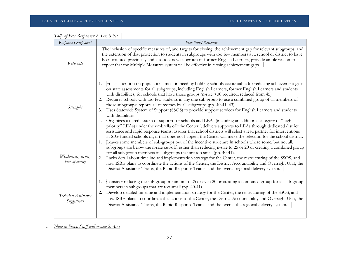| Response Component                     | Peer Panel Response                                                                                                                                                                                                                                                                                                                                                                                                                                                                                                                                                                                                                                                                                                                                                                                                                                                                                                                                                                                                                                                                                                                                                                                                                     |
|----------------------------------------|-----------------------------------------------------------------------------------------------------------------------------------------------------------------------------------------------------------------------------------------------------------------------------------------------------------------------------------------------------------------------------------------------------------------------------------------------------------------------------------------------------------------------------------------------------------------------------------------------------------------------------------------------------------------------------------------------------------------------------------------------------------------------------------------------------------------------------------------------------------------------------------------------------------------------------------------------------------------------------------------------------------------------------------------------------------------------------------------------------------------------------------------------------------------------------------------------------------------------------------------|
| Rationale                              | The inclusion of specific measures of, and targets for closing, the achievement gap for relevant subgroups, and<br>the extension of that protection to students in subgroups with too few members at a school or district to have<br>been counted previously and also to a new subgroup of former English Learners, provide ample reason to<br>expect that the Multiple Measures system will be effective in closing achievement gaps.                                                                                                                                                                                                                                                                                                                                                                                                                                                                                                                                                                                                                                                                                                                                                                                                  |
| <b>Strengths</b>                       | Focus attention on populations most in need by holding schools accountable for reducing achievement gaps<br>1.<br>on state assessments for all subgroups, including English Learners, former English Learners and students<br>with disabilities, for schools that have those groups (n-size > 30 required, reduced from 45)<br>Requires schools with too few students in any one sub-group to use a combined group of all members of<br>2.<br>those subgroups; reports all outcomes by all subgroups (pp. 40-41, 43)<br>Uses Statewide System of Support (SSOS) to provide support services for English Learners and students<br>3.<br>with disabilities.<br>Organizes a tiered system of support for schools and LEAs (including an additional category of "high-<br>4.<br>priority" LEAs) under the umbrella of "the Center"; delivers supports to LEAs through dedicated district<br>assistance and rapid response teams; assures that school districts will select a lead partner for interventions<br>in SIG-funded schools or, if that does not happen, the Center will make the selection for the school district.<br>Leaves some members of sub-groups out of the incentive structure in schools where some, but not all,<br>1. |
| Weaknesses, issues,<br>lack of clarity | subgroups are below the n-size cut-off, rather than reducing n-size to 25 or 20 or creating a combined group<br>for all sub-group members in subgroups that are too small (pp. 40-41).<br>Lacks detail about timeline and implementation strategy for the Center, the restructuring of the SSOS, and<br>2.<br>how ISBE plans to coordinate the actions of the Center, the District Accountability and Oversight Unit, the<br>District Assistance Teams, the Rapid Response Teams, and the overall regional delivery system.                                                                                                                                                                                                                                                                                                                                                                                                                                                                                                                                                                                                                                                                                                             |
| Technical Assistance<br>Suggestions    | Consider reducing the sub-group minimum to 25 or even 20 or creating a combined group for all sub-group<br>1.<br>members in subgroups that are too small (pp. 40-41).<br>Develop detailed timeline and implementation strategy for the Center, the restructuring of the SSOS, and<br>2.<br>how ISBE plans to coordinate the actions of the Center, the District Accountability and Oversight Unit, the<br>District Assistance Teams, the Rapid Response Teams, and the overall the regional delivery system.                                                                                                                                                                                                                                                                                                                                                                                                                                                                                                                                                                                                                                                                                                                            |

| Tally of Peer Responses: 6 Yes, 0 No |  |  |
|--------------------------------------|--|--|
|                                      |  |  |

*c. Note to Peers: Staff will review 2.A.i.c*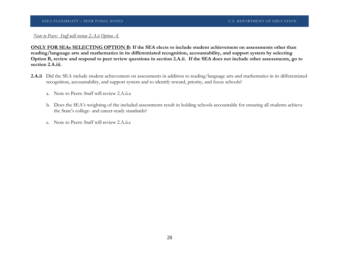## *Note to Peers: Staff will review 2.A.ii Option A.*

**ONLY FOR SEAs SELECTING OPTION B: If the SEA elects to include student achievement on assessments other than reading/language arts and mathematics in its differentiated recognition, accountability, and support system by selecting Option B, review and respond to peer review questions in section 2.A.ii. If the SEA does not include other assessments, go to section 2.A.iii.** 

- **2.A.ii** Did the SEA include student achievement on assessments in addition to reading/language arts and mathematics in its differentiated recognition, accountability, and support system and to identify reward, priority, and focus schools?
	- a. Note to Peers: Staff will review 2.A.ii.a
	- b. Does the SEA's weighting of the included assessments result in holding schools accountable for ensuring all students achieve the State's college- and career-ready standards?
	- c. Note to Peers: Staff will review 2.A.ii.c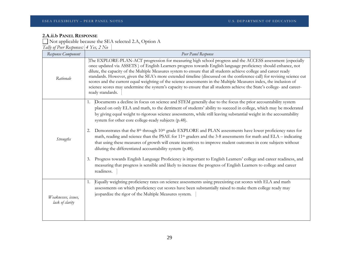## **2.A.ii.b PANEL RESPONSE**

Not applicable because the SEA selected 2.A, Option A *Tally of Peer Responses: 4 Yes, 2 No*

| Response Component                     | Peer Panel Response                                                                                                                                                                                                                                                                                                                                                                                                                                                                                                                                                                                                                                                                                                                                                                                                                                                                                                                                                                                                                                                                                                                           |
|----------------------------------------|-----------------------------------------------------------------------------------------------------------------------------------------------------------------------------------------------------------------------------------------------------------------------------------------------------------------------------------------------------------------------------------------------------------------------------------------------------------------------------------------------------------------------------------------------------------------------------------------------------------------------------------------------------------------------------------------------------------------------------------------------------------------------------------------------------------------------------------------------------------------------------------------------------------------------------------------------------------------------------------------------------------------------------------------------------------------------------------------------------------------------------------------------|
| Rationale                              | The EXPLORE-PLAN-ACT progression for measuring high school progress and the ACCESS assessment (especially<br>once updated via ASSETS ) of English Learners progress towards English language proficiency should enhance, not<br>dilute, the capacity of the Multiple Measures system to ensure that all students achieve college and career ready<br>standards. However, given the SEA's more extended timeline (discussed on the conference call) for revising science cut<br>scores and the current equal weighting of the science assessments in the Multiple Measures index, the inclusion of<br>science scores may undermine the system's capacity to ensure that all students achieve the State's college- and career-<br>ready standards.                                                                                                                                                                                                                                                                                                                                                                                              |
| <b>Strengths</b>                       | Documents a decline in focus on science and STEM generally due to the focus the prior accountability system<br>1.<br>placed on only ELA and math, to the detriment of students' ability to succeed in college, which may be moderated<br>by giving equal weight to rigorous science assessments, while still leaving substantial weight in the accountability<br>system for other core college-ready subjects (p.48).<br>Demonstrates that the 8 <sup>th</sup> through 10 <sup>th</sup> grade EXPLORE and PLAN assessments have lower proficiency rates for<br>2.<br>math, reading and science than the PSAE for 11 <sup>th</sup> graders and the 3-8 assessments for math and ELA - indicating<br>that using these measures of growth will create incentives to improve student outcomes in core subjects without<br>diluting the differentiated accountability system (p.48).<br>Progress towards English Language Proficiency is important to English Learners' college and career readiness, and<br>3.<br>measuring that progress is sensible and likely to increase the progress of English Learners to college and career<br>readiness. |
| Weaknesses, issues,<br>lack of clarity | Equally weighting proficiency rates on science assessments using preexisting cut scores with ELA and math<br>1.<br>assessments on which proficiency cut scores have been substantially raised to make them college ready may<br>jeopardize the rigor of the Multiple Measures system.                                                                                                                                                                                                                                                                                                                                                                                                                                                                                                                                                                                                                                                                                                                                                                                                                                                         |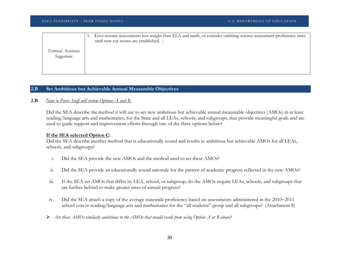|                      | Give science assessments less weight than ELA and math, or consider omitting science assessment proficiency rates |
|----------------------|-------------------------------------------------------------------------------------------------------------------|
|                      | until new cut scores are established.                                                                             |
| Technical Assistance |                                                                                                                   |
| Suggestions          |                                                                                                                   |
|                      |                                                                                                                   |
|                      |                                                                                                                   |
|                      |                                                                                                                   |

## **2.B Set Ambitious but Achievable Annual Measurable Objectives**

## **2.B** *Note to Peers: Staff will review Options A and B.*

Did the SEA describe the method it will use to set new ambitious but achievable annual measurable objectives (AMOs) in at least reading/language arts and mathematics, for the State and all LEAs, schools, and subgroups, that provide meaningful goals and are used to guide support and improvement efforts through one of the three options below?

## **If the SEA selected Option C:**

Did the SEA describe another method that is educationally sound and results in ambitious but achievable AMOs for all LEAs, schools, and subgroups?

- i. Did the SEA provide the new AMOs and the method used to set these AMOs?
- ii. Did the SEA provide an educationally sound rationale for the pattern of academic progress reflected in the new AMOs?
- iii. If the SEA set AMOs that differ by LEA, school, or subgroup, do the AMOs require LEAs, schools, and subgroups that are further behind to make greater rates of annual progress?
- iv. Did the SEA attach a copy of the average statewide proficiency based on assessments administered in the 2010−2011 school year in reading/language arts and mathematics for the "all students" group and all subgroups? (Attachment 8)
- *Are these AMOs similarly ambitious to the AMOs that would result from using Option A or B above?*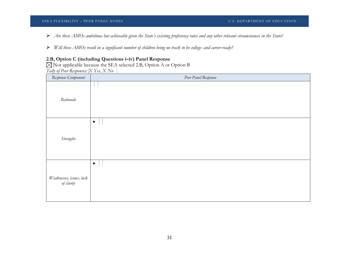- *Are these AMOs ambitious but achievable given the State's existing proficiency rates and any other relevant circumstances in the State?*
- *Will these AMOs result in a significant number of children being on track to be college- and career-ready?*

## **2.B, Option C (including Questions i–iv) Panel Response**

Not applicable because the SEA selected 2.B, Option A or Option B *Tally of Peer Responses: X Yes, X No* 

| Response Component                     | Peer Panel Response |
|----------------------------------------|---------------------|
| Rationale                              |                     |
| Strengths                              | $\bullet$           |
| Weaknesses, issues, lack<br>of clarity | $\bullet$           |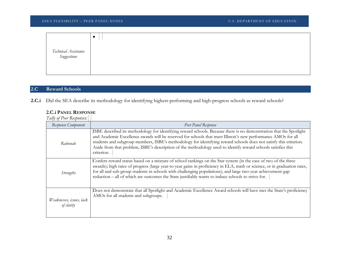| Technical Assistance<br>Suggestions |  |
|-------------------------------------|--|
|                                     |  |

## **2.C Reward Schools**

**2.C.i** Did the SEA describe its methodology for identifying highest-performing and high-progress schools as reward schools?

## **2.C.i PANEL RESPONSE**

*Tally of Peer Responses:* 

| Response Component                     | Peer Panel Response                                                                                                                                                                                                                                                                                                                                                                                                                                                                      |
|----------------------------------------|------------------------------------------------------------------------------------------------------------------------------------------------------------------------------------------------------------------------------------------------------------------------------------------------------------------------------------------------------------------------------------------------------------------------------------------------------------------------------------------|
| Rationale                              | ISBE described its methodology for identifying reward schools. Because there is no demonstration that the Spotlight<br>and Academic Excellence awards will be reserved for schools that meet Illinois's new performance AMOs for all<br>students and subgroup members, ISBE's methodology for identifying reward schools does not satisfy this criterion.<br>Aside from that problem, ISBE's description of the methodology used to identify reward schools satisfies this<br>criterion. |
| <b>Strengths</b>                       | Confers reward status based on a mixture of school rankings on the Star system (in the case of two of the three<br>awards); high rates of progress (large year-to-year gains in proficiency in ELA, math or science, or in graduation rates,<br>for all and sub-group students in schools with challenging populations); and large two-year achievement-gap<br>reduction – all of which are outcomes the State justifiably wants to induce schools to strive for.                        |
| Weaknesses, issues, lack<br>of clarity | Does not demonstrate that all Spotlight and Academic Excellence Award schools will have met the State's proficiency<br>AMOs for all students and subgroups.                                                                                                                                                                                                                                                                                                                              |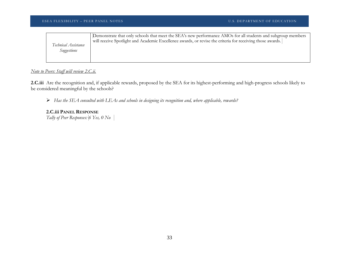| Technical Assistance | Demonstrate that only schools that meet the SEA's new performance AMOs for all students and subgroup members |
|----------------------|--------------------------------------------------------------------------------------------------------------|
| Suggestions          | will receive Spotlight and Academic Excellence awards, or revise the criteria for receiving those awards.    |
|                      |                                                                                                              |

## *Note to Peers: Staff will review 2.C.ii.*

**2.C.iii** Are the recognition and, if applicable rewards, proposed by the SEA for its highest-performing and high-progress schools likely to be considered meaningful by the schools?

*Has the SEA consulted with LEAs and schools in designing its recognition and, where applicable, rewards?*

## **2.C.iii PANEL RESPONSE**

*Tally of Peer Responses: 6 Yes, 0 No*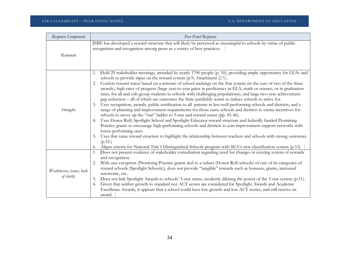| Response Component                     | Peer Panel Response                                                                                                                                                                                                                                                                                                                                                                                                                                                                                                                                                                                                                                                                                                                                                                                                                                                                                                                                                                                                                                                                                                                                                                                                                                                                                                                                                                                                                                                                                                     |
|----------------------------------------|-------------------------------------------------------------------------------------------------------------------------------------------------------------------------------------------------------------------------------------------------------------------------------------------------------------------------------------------------------------------------------------------------------------------------------------------------------------------------------------------------------------------------------------------------------------------------------------------------------------------------------------------------------------------------------------------------------------------------------------------------------------------------------------------------------------------------------------------------------------------------------------------------------------------------------------------------------------------------------------------------------------------------------------------------------------------------------------------------------------------------------------------------------------------------------------------------------------------------------------------------------------------------------------------------------------------------------------------------------------------------------------------------------------------------------------------------------------------------------------------------------------------------|
| Rationale                              | ISBE has developed a reward structure that will likely be perceived as meaningful to schools by virtue of public<br>recognition and recognition among peers as a source of best practices.                                                                                                                                                                                                                                                                                                                                                                                                                                                                                                                                                                                                                                                                                                                                                                                                                                                                                                                                                                                                                                                                                                                                                                                                                                                                                                                              |
| <b>Strengths</b>                       | Held 29 stakeholder meetings, attended by nearly 1700 people (p. 10), providing ample opportunity for LEAs and<br>1.<br>schools to provide input on the reward system (p.9; Attachment 2/1).<br>Confers reward status based on a mixture of school rankings on the Star system (in the case of two of the three<br>2.<br>awards); high rates of progress (large year-to-year gains in proficiency in ELA, math or science, or in graduation<br>rates, for all and sub-group students in schools with challenging populations); and large two-year achievement-<br>gap reduction – all of which are outcomes the State justifiably wants to induce schools to strive for.<br>Uses recognition, awards, public notification to all parents in less-well-performing schools and districts, and a<br>range of planning and improvement requirements for those same schools and districts to create incentives for<br>schools to move up the "star" ladder to 5-star and reward status (pp. 45-46).<br>Uses Honor Roll, Spotlight School and Spotlight Educator reward structure and federally funded Promising<br>4.<br>Practice grants to encourage high-performing schools and districts to join improvement support networks with<br>lower-performing ones.<br>Uses that same reward structure to highlight the relationship between teachers and schools with strong outcomes<br>5.<br>(p.52.)<br>Aligns criteria for National Title I Distinguished Schools program with SEA's new classification system (p.53).<br>6. |
| Weaknesses, issues, lack<br>of clarity | Does not present evidence of stakeholder consultation regarding need for changes in existing system of rewards<br>1.<br>and recognition.<br>With one exception (Promising Practice grants tied to a subset (Honor Roll schools) of one of its categories of<br>2.<br>reward schools (Spotlight Schools)), does not provide "tangible" rewards such as bonuses, grants, increased<br>autonomy, etc<br>Does not link Spotlight Awards to schools' 5-star status, modestly diluting the power of the 5-star system (p.51).<br>3.<br>Given that neither growth to standard nor ACT scores are considered for Spotlight Awards and Academic<br>4.<br>Excellence Awards, it appears that a school could have low growth and low ACT scores, and still receive an<br>award.                                                                                                                                                                                                                                                                                                                                                                                                                                                                                                                                                                                                                                                                                                                                                    |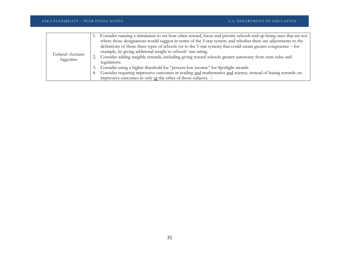|                                     | 1. Consider running a simulation to see how often reward, focus and priority schools end up being ones that are not |
|-------------------------------------|---------------------------------------------------------------------------------------------------------------------|
| Technical Assistance<br>Suggestions | where those designations would suggest in terms of the 5-star system, and whether there are adjustments to the      |
|                                     | definitions of those three types of schools (or to the 5-star system) that could create greater congruence – for    |
|                                     | example, by giving additional weight to schools' star rating.                                                       |
|                                     | 2. Consider adding tangible rewards, including giving reward schools greater autonomy from state rules and          |
|                                     | regulations.                                                                                                        |
|                                     | 3. Consider using a higher threshold for "percent low income" for Spotlight awards.                                 |
|                                     | 4. Consider requiring impressive outcomes in reading and mathematics and science, instead of basing rewards on      |
|                                     | impressive outcomes in only $or$ the other of those subjects.                                                       |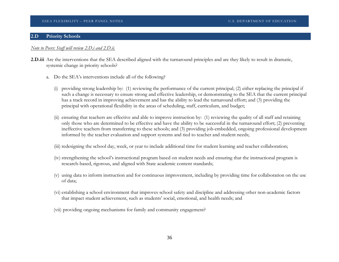### **2.D Priority Schools**

### *Note to Peers: Staff will review 2.D.i and 2.D.ii.*

- **2.D.iii** Are the interventions that the SEA described aligned with the turnaround principles and are they likely to result in dramatic, systemic change in priority schools?
	- a. Do the SEA's interventions include all of the following?
		- (i) providing strong leadership by: (1) reviewing the performance of the current principal; (2) either replacing the principal if such a change is necessary to ensure strong and effective leadership, or demonstrating to the SEA that the current principal has a track record in improving achievement and has the ability to lead the turnaround effort; and (3) providing the principal with operational flexibility in the areas of scheduling, staff, curriculum, and budget;
		- (ii) ensuring that teachers are effective and able to improve instruction by: (1) reviewing the quality of all staff and retaining only those who are determined to be effective and have the ability to be successful in the turnaround effort; (2) preventing ineffective teachers from transferring to these schools; and (3) providing job-embedded, ongoing professional development informed by the teacher evaluation and support systems and tied to teacher and student needs;
		- (iii) redesigning the school day, week, or year to include additional time for student learning and teacher collaboration;
		- (iv) strengthening the school's instructional program based on student needs and ensuring that the instructional program is research-based, rigorous, and aligned with State academic content standards;
		- (v) using data to inform instruction and for continuous improvement, including by providing time for collaboration on the use of data;
		- (vi) establishing a school environment that improves school safety and discipline and addressing other non-academic factors that impact student achievement, such as students' social, emotional, and health needs; and
		- (vii) providing ongoing mechanisms for family and community engagement?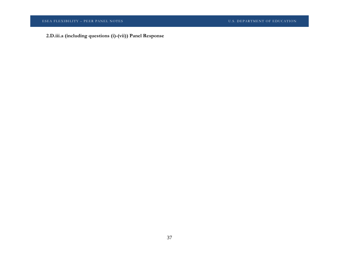ESEA FLEXIBILITY – PEER PANEL NOTES U.S. DEPARTMENT OF EDUCATION

**2.D.iii.a (including questions (i)-(vii)) Panel Response**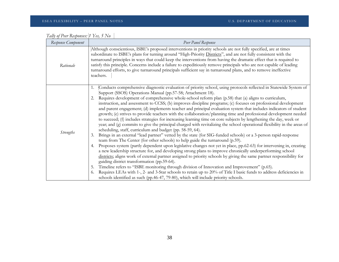| Response Component | Peer Panel Response                                                                                                                                                                                                                                                                                                                                                                                                                                                                                                                                                                                                                                                                                                                                                                                                                                                                                                                                                                                                                                                                                                                                                                                                                                                                                                                                                                                                                                                                                                                                                                                                                                                                                                                                                                                                                                                                                                             |
|--------------------|---------------------------------------------------------------------------------------------------------------------------------------------------------------------------------------------------------------------------------------------------------------------------------------------------------------------------------------------------------------------------------------------------------------------------------------------------------------------------------------------------------------------------------------------------------------------------------------------------------------------------------------------------------------------------------------------------------------------------------------------------------------------------------------------------------------------------------------------------------------------------------------------------------------------------------------------------------------------------------------------------------------------------------------------------------------------------------------------------------------------------------------------------------------------------------------------------------------------------------------------------------------------------------------------------------------------------------------------------------------------------------------------------------------------------------------------------------------------------------------------------------------------------------------------------------------------------------------------------------------------------------------------------------------------------------------------------------------------------------------------------------------------------------------------------------------------------------------------------------------------------------------------------------------------------------|
| Rationale          | Although conscientious, ISBE's proposed interventions in priority schools are not fully specified, are at times<br>subordinate to ISBE's plans for turning around "High-Priority Districts", and are not fully consistent with the<br>turnaround principles in ways that could keep the interventions from having the dramatic effect that is required to<br>satisfy this principle. Concerns include a failure to expeditiously remove principals who are not capable of leading<br>turnaround efforts, to give turnaround principals sufficient say in turnaround plans, and to remove ineffective<br>teachers.                                                                                                                                                                                                                                                                                                                                                                                                                                                                                                                                                                                                                                                                                                                                                                                                                                                                                                                                                                                                                                                                                                                                                                                                                                                                                                               |
| <b>Strengths</b>   | Conducts comprehensive diagnostic evaluation of priority school, using protocols reflected in Statewide System of<br>1.<br>Support (SSOS) Operations Manual (pp.57-58; Attachment 18).<br>Requires development of comprehensive whole-school reform plan (p.58) that (a) aligns to curriculum,<br>2.<br>instruction, and assessment to CCSS; (b) improves discipline programs; (c) focuses on professional development<br>and parent engagement; (d) implements teacher and principal evaluation system that includes indicators of student<br>growth; (e) strives to provide teachers with the collaboration/planning time and professional development needed<br>to succeed; (f) includes strategies for increasing learning time on core subjects by lengthening the day, week or<br>year; and (g) commits to give the principal charged with revitalizing the school operational flexibility in the areas of<br>scheduling, staff, curriculum and budget (pp. 58-59, 64).<br>Brings in an external "lead partner" vetted by the state (for SIG-funded schools) or a 3-person rapid-response<br>3.<br>team from The Center (for other schools) to help guide the turnaround (p.59).<br>Proposes system (partly dependent upon legislative changes not yet in place, pp.62-63) for intervening in, creating<br>4.<br>a new leadership structure for, and developing strong plans to improve chronically underperforming school<br>districts; aligns work of external partner assigned to priority schools by giving the same partner responsibility for<br>guiding district transformation (pp.59-64).<br>Timeline refers to "ISBE monitoring through division of Innovation and Improvement" (p.65).<br>5.<br>Requires LEAs with 1-, 2- and 3-Star schools to retain up to 20% of Title I basic funds to address deficiencies in<br>6.<br>schools identified as such (pp.46-47, 79-80), which will include priority schools. |

*Tally of Peer Responses: 1 Yes, 5 No*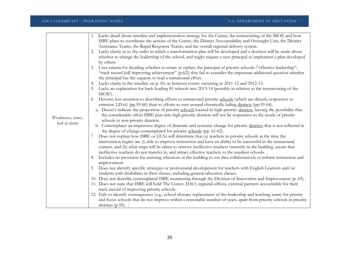|                     | Lacks detail about timeline and implementation strategy for the Center, the restructuring of the SSOS, and how<br>1.       |
|---------------------|----------------------------------------------------------------------------------------------------------------------------|
|                     | ISBE plans to coordinate the actions of the Center, the District Accountability and Oversight Unit, the District           |
|                     | Assistance Teams, the Rapid Response Teams, and the overall regional delivery system.                                      |
|                     | Lacks clarity as to the order in which a transformation plan will be developed and a decision will be made about<br>2.     |
|                     | whether to change the leadership of the school, and might require a new principal to implement a plan developed            |
|                     | by others.                                                                                                                 |
|                     | Uses criteria for deciding whether to retain or replace the principal of priority schools ("effective leadership";<br>3.   |
|                     | "track record [of] improving achievement" (p.62)) that fail to consider the important additional question whether          |
|                     | the principal has the capacity to lead a turnaround effort.                                                                |
|                     | Lacks clarity in the timeline on p. 65, as between events occurring in 2011-12 and 2012-13.<br>4.                          |
|                     | Lacks an explanation for back-loading 83 schools into 2013-14 (possibly in relation to the restructuring of the<br>SSOS?). |
|                     | Devotes less attention to describing efforts to turnaround priority schools (which are directly responsive to              |
|                     | criterion 2.D.iii) (pp.59-60) than to efforts to turn around chronically failing districts (pp.59-64).                     |
|                     | a. Doesn't indicate the proportion of priority schools located in high-priority districts, leaving the possibility that    |
|                     | the considerable effort ISBE puts into high-priority districts will not be responsive to the needs of priority             |
| Weaknesses, issues, | schools in non-priority districts.                                                                                         |
| lack of clarity     | b. Contemplates an impressive degree of dramatic and systemic change for priority districts that is not reflected in       |
|                     | the degree of change contemplated for priority schools (pp. 61-62).                                                        |
|                     | Does not explain how ISBE or LEAs will determine that (a) teachers in priority schools at the time the                     |
|                     | intervention begins are (i) able to improve instruction and have an ability to be successful in the turnaround             |
|                     | context, and (b) what steps will be taken to remove ineffective teachers currently in the building, assure that            |
|                     | ineffective teachers do not transfer in, and attract effective teachers to the neediest schools.                           |
|                     | Includes no provision for assisting educators in the building to use data collaboratively to inform instruction and<br>8.  |
|                     | improvement                                                                                                                |
|                     | Does not identify specific strategies or professional development for teachers with English Learners and/or<br>9.          |
|                     | students with disabilities in their classes, including general-education classes.                                          |
|                     | 10. Does not describe contemplated ISBE monitoring through the Division of Innovation and Improvement (p. 65).             |
|                     | 11. Does not state that ISBE will hold The Center, DAO, regional offices, external partners accountable for their          |
|                     | track record of improving priority schools.                                                                                |
|                     | 12. Fails to identify consequences (e.g., school closure; replacement of the leadership and teaching team) for priority    |
|                     | and focus schools that do not improve within a reasonable number of years, apart from priority schools in priority         |
|                     | districts $(p.59)$ .                                                                                                       |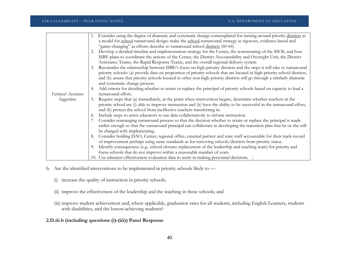|                      |    | Consider using the degree of dramatic and systematic change contemplated for turning around priority districts as        |
|----------------------|----|--------------------------------------------------------------------------------------------------------------------------|
|                      |    | a model for school turnaround design: make the school-turnaround strategy as rigorous, evidence-based and                |
|                      |    | "game-changing" as efforts describe to turnaround school districts (60-64).                                              |
|                      |    | Develop a detailed timeline and implementation strategy for the Center, the restructuring of the SSOS, and how           |
|                      |    | ISBE plans to coordinate the actions of the Center, the District Accountability and Oversight Unit, the District         |
|                      |    | Assistance Teams, the Rapid Response Teams, and the overall regional delivery system                                     |
|                      | 3. | Reconsider the relationship between ISBE's focus on high-priority districts and the steps it will take to turnaround     |
|                      |    | priority schools: (a) provide data on proportion of priority schools that are located in high-priority school districts, |
|                      |    | and (b) assure that priority schools located in other non-high-priority districts will go through a similarly dramatic   |
|                      |    | and systematic change process.                                                                                           |
|                      | 4. | Add criteria for deciding whether to retain or replace the principal of priority schools based on capacity to lead a     |
| Technical Assistance |    | turnaround effort.                                                                                                       |
| Suggestions          | 5. | Require steps that (a) immediately, at the point when intervention begins, determine whether teachers in the             |
|                      |    | priority school are (i) able to improve instruction and (ii) have the ability to be successful in the turnaround effort, |
|                      |    | and (b) protect the school from ineffective teachers transferring in.                                                    |
|                      | 6. | Include steps to assist educators to use data collaboratively to inform instruction.                                     |
|                      |    | Consider rearranging turnaround process so that the decision whether to retain or replace the principal is made          |
|                      |    | earlier enough so that the turnaround principal can collaborate in developing the transition plan that he or she will    |
|                      |    | be charged with implementing.                                                                                            |
|                      | 8. | Consider holding DAO, Center, regional office, external partner and state staff accountable for their track-record       |
|                      |    | of improvement perhaps using same standards as for removing schools/districts from priority status.                      |
|                      | 9. | Identify consequences (e.g., school closure; replacement of the leadership and teaching team) for priority and           |
|                      |    | focus schools that do not improve within a reasonable number of years.                                                   |
|                      |    | 10. Use educator effectiveness evaluation data to assist in making personnel decisions.                                  |

- b. Are the identified interventions to be implemented in priority schools likely to
	- (i) increase the quality of instruction in priority schools;
	- (ii) improve the effectiveness of the leadership and the teaching in these schools; and
	- (iii) improve student achievement and, where applicable, graduation rates for all students, including English Learners, students with disabilities, and the lowest-achieving students?
- **2.D.iii.b (including questions (i)-(iii)) Panel Response**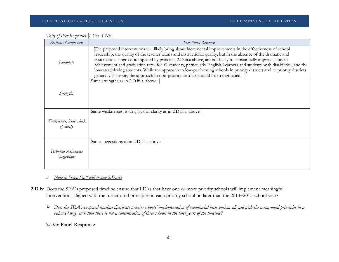| Response Component                     | Peer Panel Response                                                                                                                                                                                                                                                                                                                                                                                                                                                                                                                                                                                                                                                                        |
|----------------------------------------|--------------------------------------------------------------------------------------------------------------------------------------------------------------------------------------------------------------------------------------------------------------------------------------------------------------------------------------------------------------------------------------------------------------------------------------------------------------------------------------------------------------------------------------------------------------------------------------------------------------------------------------------------------------------------------------------|
| Rationale                              | The proposed interventions will likely bring about incremental improvements in the effectiveness of school<br>leadership, the quality of the teacher teams and instructional quality, but in the absence of the dramatic and<br>systematic change contemplated by principal 2.D.iii.a above, are not likely to substantially improve student<br>achievement and graduation rates for all students, particularly English Learners and students with disabilities, and the<br>lowest-achieving students. While the approach to low-performing schools in priority districts and to priority districts<br>generally is strong, the approach in non-priority districts should be strengthened. |
| <i>Strengths</i>                       | Same strengths as in 2.D.iii.a. above                                                                                                                                                                                                                                                                                                                                                                                                                                                                                                                                                                                                                                                      |
| Weaknesses, issues, lack<br>of clarity | Same weaknesses, issues, lack of clarity as in 2.D.iii.a. above                                                                                                                                                                                                                                                                                                                                                                                                                                                                                                                                                                                                                            |
| Technical Assistance<br>Suggestions    | Same suggestions as in 2.D.iii.a. above                                                                                                                                                                                                                                                                                                                                                                                                                                                                                                                                                                                                                                                    |

| Tally of Peer Responses: [1 Yes, 5 No |  |  |
|---------------------------------------|--|--|
|                                       |  |  |

*c. Note to Peers: Staff will review 2.D.iii.c*

- **2.D.iv** Does the SEA's proposed timeline ensure that LEAs that have one or more priority schools will implement meaningful interventions aligned with the turnaround principles in each priority school no later than the 2014−2015 school year?
	- *Does the SEA's proposed timeline distribute priority schools' implementation of meaningful interventions aligned with the turnaround principles in a balanced way, such that there is not a concentration of these schools in the later years of the timeline?*

### **2.D.iv Panel Response**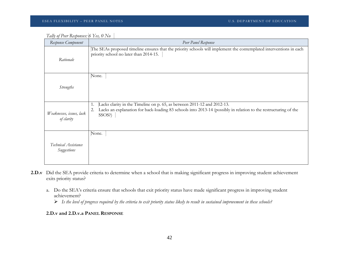*Tally of Peer Responses: 6 Yes, 0 No* 

| Response Component                     | Peer Panel Response                                                                                                                                                                                              |
|----------------------------------------|------------------------------------------------------------------------------------------------------------------------------------------------------------------------------------------------------------------|
| Rationale                              | The SEAs proposed timeline ensures that the priority schools will implement the contemplated interventions in each<br>priority school no later than 2014-15.                                                     |
| <i>Strengths</i>                       | None.                                                                                                                                                                                                            |
| Weaknesses, issues, lack<br>of clarity | Lacks clarity in the Timeline on p. 65, as between 2011-12 and 2012-13.<br>1.<br>Lacks an explanation for back-loading 83 schools into 2013-14 (possibly in relation to the restructuring of the<br>2.<br>SSOS?) |
| Technical Assistance<br>Suggestions    | None.                                                                                                                                                                                                            |

- **2.D.v** Did the SEA provide criteria to determine when a school that is making significant progress in improving student achievement exits priority status?
	- a. Do the SEA's criteria ensure that schools that exit priority status have made significant progress in improving student achievement?
		- *Is the level of progress required by the criteria to exit priority status likely to result in sustained improvement in these schools?*

### **2.D.v and 2.D.v.a PANEL RESPONSE**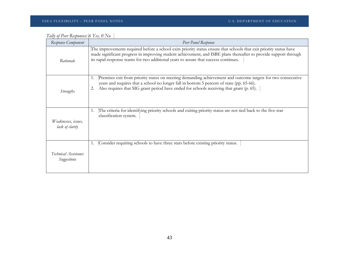| Tally of Peer Responses: 6 Yes, 0 No |  |
|--------------------------------------|--|
|                                      |  |

| Response Component                     | Peer Panel Response                                                                                                                                                                                                                                                                                                           |
|----------------------------------------|-------------------------------------------------------------------------------------------------------------------------------------------------------------------------------------------------------------------------------------------------------------------------------------------------------------------------------|
| Rationale                              | The improvements required before a school exits priority status ensure that schools that exit priority status have<br>made significant progress in improving student achievement, and ISBE plans thereafter to provide support through<br>its rapid-response teams for two additional years to assure that success continues. |
| <b>Strengths</b>                       | Premises exit from priority status on meeting demanding achievement and outcome targets for two consecutive<br>1.<br>years and requires that a school no longer fall in bottom 5 percent of state (pp. 65-66).<br>Also requires that SIG grant period have ended for schools receiving that grant (p. 65).                    |
| Weaknesses, issues,<br>lack of clarity | The criteria for identifying priority schools and exiting priority status are not tied back to the five-star<br>1.<br>classification system.                                                                                                                                                                                  |
| Technical Assistance<br>Suggestions    | Consider requiring schools to have three stars before existing priority status.<br>1.                                                                                                                                                                                                                                         |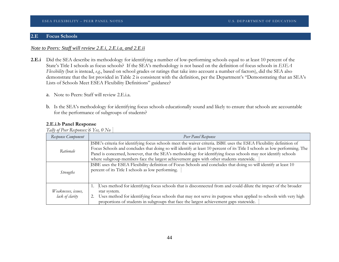### **2.E Focus Schools**

### *Note to Peers: Staff will review 2.E.i, 2.E.i.a, and 2.E.ii*

- **2.E.i** Did the SEA describe its methodology for identifying a number of low-performing schools equal to at least 10 percent of the State's Title I schools as focus schools? If the SEA's methodology is not based on the definition of focus schools in *ESEA Flexibility* (but is instead, *e.g.*, based on school grades or ratings that take into account a number of factors), did the SEA also demonstrate that the list provided in Table 2 is consistent with the definition, per the Department's "Demonstrating that an SEA's Lists of Schools Meet ESEA Flexibility Definitions" guidance?
	- a. Note to Peers: Staff will review 2.E.i.a.
	- b. Is the SEA's methodology for identifying focus schools educationally sound and likely to ensure that schools are accountable for the performance of subgroups of students?

### **2.E.i.b Panel Response**

*Tally of Peer Responses: 6 Yes, 0 No*

| Response Component                     | Peer Panel Response                                                                                                                                                                                                                                                                                                                                                                                                                                            |  |
|----------------------------------------|----------------------------------------------------------------------------------------------------------------------------------------------------------------------------------------------------------------------------------------------------------------------------------------------------------------------------------------------------------------------------------------------------------------------------------------------------------------|--|
| Rationale                              | ISBE's criteria for identifying focus schools meet the waiver criteria. ISBE uses the ESEA Flexibility definition of<br>Focus Schools and concludes that doing so will identify at least 10 percent of its Title I schools as low performing. The<br>Panel is concerned, however, that the SEA's methodology for identifying focus schools may not identify schools<br>where subgroup members face the largest achievement gaps with other students statewide. |  |
| <b>Strengths</b>                       | ISBE uses the ESEA Flexibility definition of Focus Schools and concludes that doing so will identify at least 10<br>percent of its Title I schools as low performing.                                                                                                                                                                                                                                                                                          |  |
| Weaknesses, issues,<br>lack of clarity | Uses method for identifying focus schools that is disconnected from and could dilute the impact of the broader<br>star system.<br>Uses method for identifying focus schools that may not serve its purpose when applied to schools with very high<br>proportions of students in subgroups that face the largest achievement gaps statewide.                                                                                                                    |  |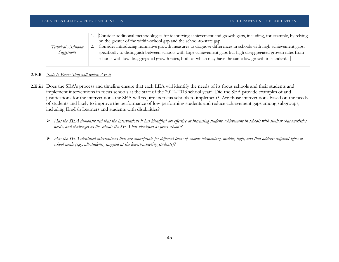|                      | Consider additional methodologies for identifying achievement and growth gaps, including, for example, by relying<br>on the greater of the within-school gap and the school-to-state gap. |
|----------------------|-------------------------------------------------------------------------------------------------------------------------------------------------------------------------------------------|
| Technical Assistance | Consider introducing normative growth measures to diagnose differences in schools with high achievement gaps,                                                                             |
| Suggestions          | specifically to distinguish between schools with large achievement gaps but high disaggregated growth rates from                                                                          |
|                      | schools with low disaggregated growth rates, both of which may have the same low growth to standard.                                                                                      |
|                      |                                                                                                                                                                                           |

### **2.E.ii** *Note to Peers: Staff will review 2.E.ii*

- **2.E.iii** Does the SEA's process and timeline ensure that each LEA will identify the needs of its focus schools and their students and implement interventions in focus schools at the start of the 2012–2013 school year? Did the SEA provide examples of and justifications for the interventions the SEA will require its focus schools to implement? Are those interventions based on the needs of students and likely to improve the performance of low-performing students and reduce achievement gaps among subgroups, including English Learners and students with disabilities?
	- *Has the SEA demonstrated that the interventions it has identified are effective at increasing student achievement in schools with similar characteristics, needs, and challenges as the schools the SEA has identified as focus schools?*
	- *Has the SEA identified interventions that are appropriate for different levels of schools (elementary, middle, high) and that address different types of school needs (e.g., all-students, targeted at the lowest-achieving students)?*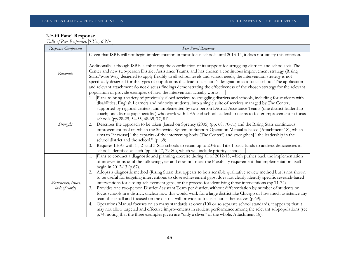### **2.E.iii Panel Response**

*Tally of Peer Responses: 0 Yes, 6 No*

| Response Component                     | Peer Panel Response                                                                                                                                                                                                                                                                                                                                                                                                                                                                                                                                                                                                                                                                                                                                                                                                                                                                                                                                                                                                                                                                                                                                                                                                                                                                                                                      |  |  |
|----------------------------------------|------------------------------------------------------------------------------------------------------------------------------------------------------------------------------------------------------------------------------------------------------------------------------------------------------------------------------------------------------------------------------------------------------------------------------------------------------------------------------------------------------------------------------------------------------------------------------------------------------------------------------------------------------------------------------------------------------------------------------------------------------------------------------------------------------------------------------------------------------------------------------------------------------------------------------------------------------------------------------------------------------------------------------------------------------------------------------------------------------------------------------------------------------------------------------------------------------------------------------------------------------------------------------------------------------------------------------------------|--|--|
|                                        | Given that ISBE will not begin implementation in most focus schools until 2013-14, it does not satisfy this criterion.                                                                                                                                                                                                                                                                                                                                                                                                                                                                                                                                                                                                                                                                                                                                                                                                                                                                                                                                                                                                                                                                                                                                                                                                                   |  |  |
| Rationale                              | Additionally, although ISBE is enhancing the coordination of its support for struggling districts and schools via The<br>Center and new two-person District Assistance Teams, and has chosen a continuous improvement strategy (Rising<br>Stars/Wise Way) designed to apply flexibly to all school levels and school needs, the intervention strategy is not<br>specifically designed for the types of populations that lead to a school's designation as a focus school. The application<br>and relevant attachment do not discuss findings demonstrating the effectiveness of the chosen strategy for the relevant<br>population or provide examples of how the intervention actually works.                                                                                                                                                                                                                                                                                                                                                                                                                                                                                                                                                                                                                                           |  |  |
| <b>Strengths</b>                       | Plans to bring a variety of previously siloed services to struggling districts and schools, including for students with<br>disabilities, English Learners and minority students, into a single suite of services managed by The Center,<br>supported by regional centers, and implemented by two-person District Assistance Teams (one district leadership<br>coach; one district gap specialist) who work with LEA and school leadership teams to foster improvement in focus<br>schools (pp.28-29, 54-55, 68-69, 77, 81).<br>Describes the approach to be taken (based on Sprency (2005) (pp. 68, 70-71) and the Rising Stars continuous<br>2.<br>improvement tool on which the Statewide System of Support Operation Manual is based (Attachment 18), which<br>aims to "increase" the capacity of the intervening body (The Center?) and strengthen the leadership in the<br>school district and the school." (p. 68)<br>Requires LEAs with 1-, 2- and 3-Star schools to retain up to 20% of Title I basic funds to address deficiencies in<br>3.<br>schools identified as such (pp. 46-47, 79-80), which will include priority schools.                                                                                                                                                                                              |  |  |
| Weaknesses, issues,<br>lack of clarity | Plans to conduct a diagnostic and planning exercise during all of 2012-13, which pushes back the implementation<br>1.<br>of interventions until the following year and does not meet the Flexibility requirement that implementation itself<br>begin in 2012-13 (p.67).<br>Adopts a diagnostic method (Rising Stars) that appears to be a sensible qualitative review method but is not shown<br>2.<br>to be useful for targeting interventions to close achievement gaps; does not clearly identify specific research-based<br>interventions for closing achievement gaps, or the process for identifying those interventions (pp.71-74).<br>Provides one two-person District Assistant Team per district, without differentiation by number of students or<br>3.<br>focus schools in a district; unclear how this would work for a large district like Chicago or how much assistance any<br>team this small and focused on the district will provide to focus schools themselves (p.69).<br>Operations Manual focuses on so many standards at once (100 or so separate school standards, it appears) that it<br>4.<br>may not allow targeted and effective improvements in student performance among the relevant subpopulations (see<br>p.74, noting that the three examples given are "only a sliver" of the whole; Attachment 18). |  |  |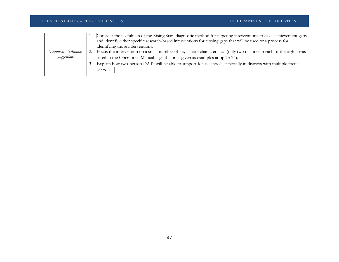|                      |                  | Consider the usefulness of the Rising Stars diagnostic method for targeting interventions to close achievement gaps  |
|----------------------|------------------|----------------------------------------------------------------------------------------------------------------------|
|                      |                  | and identify either specific research-based interventions for closing gaps that will be used or a process for        |
|                      |                  | identifying those interventions.                                                                                     |
| Technical Assistance |                  | Focus the intervention on a small number of key school characteristics (only two or three in each of the eight areas |
| Suggestions          |                  | listed in the Operations Manual, e.g., the ones given as examples at pp.73-74).                                      |
|                      | $\mathfrak{I}$ . | Explain how two-person DATs will be able to support focus schools, especially in districts with multiple focus       |
|                      |                  | schools.                                                                                                             |
|                      |                  |                                                                                                                      |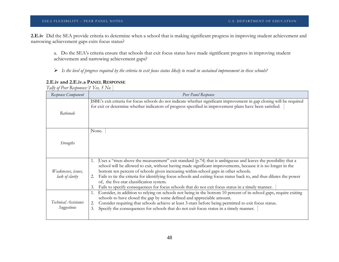**2.E.iv** Did the SEA provide criteria to determine when a school that is making significant progress in improving student achievement and narrowing achievement gaps exits focus status?

a. Do the SEA's criteria ensure that schools that exit focus status have made significant progress in improving student achievement and narrowing achievement gaps?

*Is the level of progress required by the criteria to exit focus status likely to result in sustained improvement in these schools?* 

| Response Component                     | Peer Panel Response                                                                                                                                                                                                                                                                                                                                                                                                                                                                                                                                                                                               |
|----------------------------------------|-------------------------------------------------------------------------------------------------------------------------------------------------------------------------------------------------------------------------------------------------------------------------------------------------------------------------------------------------------------------------------------------------------------------------------------------------------------------------------------------------------------------------------------------------------------------------------------------------------------------|
| Rationale                              | ISBE's exit criteria for focus schools do not indicate whether significant improvement in gap closing will be required<br>for exit or determine whether indicators of progress specified in improvement plans have been satisfied.                                                                                                                                                                                                                                                                                                                                                                                |
| <i>Strengths</i>                       | None.                                                                                                                                                                                                                                                                                                                                                                                                                                                                                                                                                                                                             |
| Weaknesses, issues,<br>lack of clarity | Uses a "risen above the measurement" exit standard $(p.74)$ that is ambiguous and leaves the possibility that a<br>1.<br>school will be allowed to exit, without having made significant improvements, because it is no longer in the<br>bottom ten percent of schools given increasing within-school gaps in other schools.<br>Fails to tie the criteria for identifying focus schools and exiting focus status back to, and thus dilutes the power<br>2.<br>of, the five-star classification system.<br>Fails to specify consequences for focus schools that do not exit focus status in a timely manner.<br>3. |
| Technical Assistance<br>Suggestions    | Consider, in addition to relying on schools not being in the bottom 10 percent of in-school gaps, require exiting<br>1.<br>schools to have closed the gap by some defined and appreciable amount.<br>Consider requiring that schools achieve at least 3-stars before being permitted to exit focus status.<br>2.<br>Specify the consequences for schools that do not exit focus status in a timely manner.<br>3.                                                                                                                                                                                                  |

### **2.E.iv and 2.E.iv.a PANEL RESPONSE**

*Tally of Peer Responses: 1 Yes, 5 No*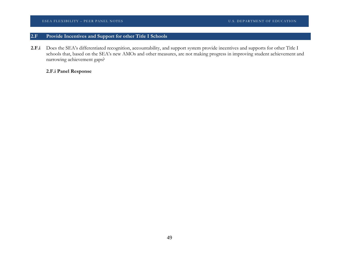### ESEA FLEXIBILITY – PEER PANEL NOTES SUBSEXUALLY AND THE SEA FLEXIBILITY – PEER PANEL NOTES SUBSEXUALLY AND THE SUBSEXUALLY AND THE SUBSEXUALLY AND THE SUBSEXUALLY AND THE SUBSEXUALLY AND THE SUBSEXUALLY AND THE SUBSEXUALLY

## **2.F Provide Incentives and Support for other Title I Schools**

**2.F.i** Does the SEA's differentiated recognition, accountability, and support system provide incentives and supports for other Title I schools that, based on the SEA's new AMOs and other measures, are not making progress in improving student achievement and narrowing achievement gaps?

### **2.F.i Panel Response**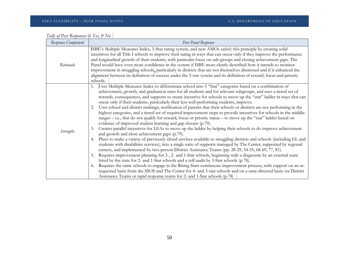| Response Component | Peer Panel Response                                                                                                                                                                                                                                                                                                                                                                                                                                                                                                                                                                                                                                                                                                                                                                                                                                                                                                                                                                                                                                                                                                                                                                                                                                                                                                                                                                                                                                                                                                                                                                                                                                                                                                                                                                                                                                                                                                                                                    |
|--------------------|------------------------------------------------------------------------------------------------------------------------------------------------------------------------------------------------------------------------------------------------------------------------------------------------------------------------------------------------------------------------------------------------------------------------------------------------------------------------------------------------------------------------------------------------------------------------------------------------------------------------------------------------------------------------------------------------------------------------------------------------------------------------------------------------------------------------------------------------------------------------------------------------------------------------------------------------------------------------------------------------------------------------------------------------------------------------------------------------------------------------------------------------------------------------------------------------------------------------------------------------------------------------------------------------------------------------------------------------------------------------------------------------------------------------------------------------------------------------------------------------------------------------------------------------------------------------------------------------------------------------------------------------------------------------------------------------------------------------------------------------------------------------------------------------------------------------------------------------------------------------------------------------------------------------------------------------------------------------|
| Rationale          | ISBE's Multiple Measures Index, 5-Star rating system, and new AMOs satisfy this principle by creating solid<br>incentives for all Title I schools to improve their rating in ways that can occur only if they improve the performance<br>and longitudinal growth of their students, with particular focus on sub-groups and closing achievement gaps. The<br>Panel would have even more confidence in the system if ISBE more clearly described how it intends to monitor<br>improvement in struggling schools, particularly in districts that are not themselves distressed and if it enhanced the<br>alignment between its definition of success under the 5-star system and its definition of reward, focus and priority<br>schools.                                                                                                                                                                                                                                                                                                                                                                                                                                                                                                                                                                                                                                                                                                                                                                                                                                                                                                                                                                                                                                                                                                                                                                                                                                |
| <b>Strengths</b>   | 1. Uses Multiple Measures Index to differentiate school into 5 "Star" categories based on a combination of<br>achievement, growth, and graduation rates for all students and for relevant subgroups, and uses a tiered set of<br>rewards, consequences, and supports to create incentive for schools to move up the "star" ladder in ways that can<br>occur only if their students, particularly their less well-performing students, improve.<br>Uses school and district rankings, notification of parents that their schools or districts are not performing in the<br>2.<br>highest categories, and a tiered set of required improvement steps to provide incentives for schools in the middle-<br>ranges - i.e., that do not qualify for reward, focus or priority status - to move up the "star" ladder based on<br>evidence of improved student learning and gap closure (p.79).<br>Creates parallel incentives for LEAs to move up the ladder by helping their schools to do improve achievement<br>3.<br>and growth and close achievement gaps (p.79).<br>Plans to make a variety of previously siloed services available to struggling districts and schools (including EL and<br>4.<br>students with disabilities services), into a single suite of supports managed by The Center, supported by regional<br>centers, and implemented by two-person District Assistance Teams (pp. 28-29, 54-55, 68-69, 77, 81).<br>Requires improvement planning for 3-, 2- and 1-Star schools, beginning with a diagnostic by an external team<br>5.<br>hired by the state for 2- and 1-Star schools and a self-audit by 3-Star schools (p.78).<br>Requires the same schools to engage in the Rising Stars continuous improvement process, with support on an as-<br>6.<br>requested basis from the SSOS and The Center for 4- and 3-star schools and on a state-directed basis via District<br>Assistance Teams or rapid response teams for 2- and 1-Star schools (p.78) |

| Tally of Peer Responses: 6 Yes, 0 No |  |
|--------------------------------------|--|
|                                      |  |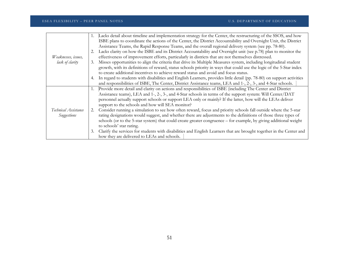|                                     | 1. | Lacks detail about timeline and implementation strategy for the Center, the restructuring of the SSOS, and how         |
|-------------------------------------|----|------------------------------------------------------------------------------------------------------------------------|
|                                     |    | ISBE plans to coordinate the actions of the Center, the District Accountability and Oversight Unit, the District       |
|                                     |    | Assistance Teams, the Rapid Response Teams, and the overall regional delivery system (see pp. 78-80).                  |
|                                     |    | Lacks clarity on how the ISBE and its District Accountability and Oversight unit (see p.78) plan to monitor the        |
| Weaknesses, issues,                 |    | effectiveness of improvement efforts, particularly in districts that are not themselves distressed.                    |
| lack of clarity                     | 3. | Misses opportunities to align the criteria that drive its Multiple Measures system, including longitudinal student     |
|                                     |    | growth, with its definitions of reward, status schools priority in ways that could use the logic of the 5-Star index   |
|                                     |    | to create additional incentives to achieve reward status and avoid and focus status.                                   |
|                                     | 4. | In regard to students with disabilities and English Learners, provides little detail (pp. 78-80) on support activities |
|                                     |    | and responsibilities of ISBE, The Center, District Assistance teams, LEA and 1-, 2-, 3-, and 4-Star schools.           |
|                                     |    | Provide more detail and clarity on actions and responsibilities of ISBE (including The Center and District             |
|                                     |    | Assistance teams), LEA and 1-, 2-, 3-, and 4-Star schools in terms of the support system: Will Center/DAT              |
|                                     |    | personnel actually support schools or support LEA only or mainly? If the latter, how will the LEAs deliver             |
|                                     |    | support to the schools and how will SEA monitor?                                                                       |
| Technical Assistance<br>Suggestions | 2. | Consider running a simulation to see how often reward, focus and priority schools fall outside where the 5-star        |
|                                     |    | rating designations would suggest, and whether there are adjustments to the definitions of those three types of        |
|                                     |    | schools (or to the 5-star system) that could create greater congruence – for example, by giving additional weight      |
|                                     |    | to schools' star rating.                                                                                               |
|                                     | 3. | Clarify the services for students with disabilities and English Learners that are brought together in the Center and   |
|                                     |    | how they are delivered to LEAs and schools.                                                                            |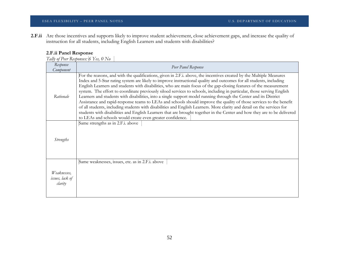**2.F.ii** Are those incentives and supports likely to improve student achievement, close achievement gaps, and increase the quality of instruction for all students, including English Learners and students with disabilities?

### **2.F.ii Panel Response**

*Tally of Peer Responses: 6 Yes, 0 No*

| Response<br>Component                     | Peer Panel Response                                                                                                                                                                                                                                                                                                                                                                                                                                                                                                                                                                                                                                                                                                                                                                                                                                                                                                                                                                                                                                        |
|-------------------------------------------|------------------------------------------------------------------------------------------------------------------------------------------------------------------------------------------------------------------------------------------------------------------------------------------------------------------------------------------------------------------------------------------------------------------------------------------------------------------------------------------------------------------------------------------------------------------------------------------------------------------------------------------------------------------------------------------------------------------------------------------------------------------------------------------------------------------------------------------------------------------------------------------------------------------------------------------------------------------------------------------------------------------------------------------------------------|
| Rationale                                 | For the reasons, and with the qualifications, given in 2.F.i. above, the incentives created by the Multiple Measures<br>Index and 5-Star rating system are likely to improve instructional quality and outcomes for all students, including<br>English Learners and students with disabilities, who are main focus of the gap-closing features of the measurement<br>system. The effort to coordinate previously siloed services to schools, including in particular, those serving English<br>Learners and students with disabilities, into a single support model running through the Center and its District<br>Assistance and rapid-response teams to LEAs and schools should improve the quality of those services to the benefit<br>of all students, including students with disabilities and English Learners. More clarity and detail on the services for<br>students with disabilities and English Learners that are brought together in the Center and how they are to be delivered<br>to LEAs and schools would create even greater confidence. |
| <i>Strengths</i>                          | Same strengths as in 2.F.i. above                                                                                                                                                                                                                                                                                                                                                                                                                                                                                                                                                                                                                                                                                                                                                                                                                                                                                                                                                                                                                          |
| Weaknesses,<br>issues, lack of<br>clarity | Same weaknesses, issues, etc. as in 2.F.i. above                                                                                                                                                                                                                                                                                                                                                                                                                                                                                                                                                                                                                                                                                                                                                                                                                                                                                                                                                                                                           |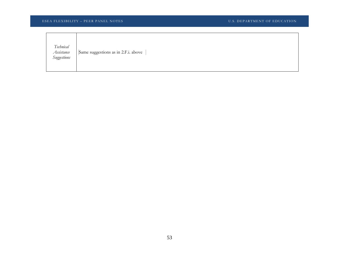| Technical<br>Assistance<br>Suggestions | Same suggestions as in 2.F.i. above |
|----------------------------------------|-------------------------------------|
|----------------------------------------|-------------------------------------|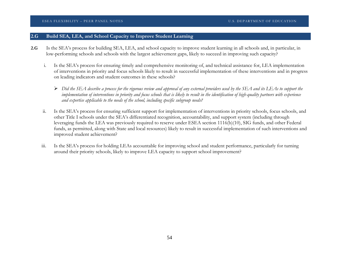### **2.G Build SEA, LEA, and School Capacity to Improve Student Learning**

- **2.G** Is the SEA's process for building SEA, LEA, and school capacity to improve student learning in all schools and, in particular, in low-performing schools and schools with the largest achievement gaps, likely to succeed in improving such capacity?
	- i. Is the SEA's process for ensuring timely and comprehensive monitoring of, and technical assistance for, LEA implementation of interventions in priority and focus schools likely to result in successful implementation of these interventions and in progress on leading indicators and student outcomes in these schools?
		- $\triangleright$  Did the SEA describe a process for the rigorous review and approval of any external providers used by the SEA and its LEAs to support the implementation of interventions in priority and focus schools that is likely to result in the identification of high-quality partners with experience *and expertise applicable to the needs of the school, including specific subgroup needs?*
	- ii. Is the SEA's process for ensuring sufficient support for implementation of interventions in priority schools, focus schools, and other Title I schools under the SEA's differentiated recognition, accountability, and support system (including through leveraging funds the LEA was previously required to reserve under ESEA section 1116(b)(10), SIG funds, and other Federal funds, as permitted, along with State and local resources) likely to result in successful implementation of such interventions and improved student achievement?
	- iii. Is the SEA's process for holding LEAs accountable for improving school and student performance, particularly for turning around their priority schools, likely to improve LEA capacity to support school improvement?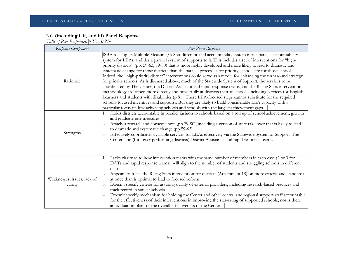### **2.G (including i, ii, and iii) Panel Response**

*Tally of Peer Responses: 6 Yes, 0 No*

| Response Component                     | Peer Panel Response                                                                                                                                                                                                                                                                                                                                                                                                                                                                                                                                                                                                                                                                                                                                                                                                                                                                                                                                                                                                                                                                                                                                                                                                                                      |
|----------------------------------------|----------------------------------------------------------------------------------------------------------------------------------------------------------------------------------------------------------------------------------------------------------------------------------------------------------------------------------------------------------------------------------------------------------------------------------------------------------------------------------------------------------------------------------------------------------------------------------------------------------------------------------------------------------------------------------------------------------------------------------------------------------------------------------------------------------------------------------------------------------------------------------------------------------------------------------------------------------------------------------------------------------------------------------------------------------------------------------------------------------------------------------------------------------------------------------------------------------------------------------------------------------|
| Rationale                              | ISBE rolls up its Multiple Measures/5-Star differentiated accountability system into a parallel accountability<br>system for LEAs, and ties a parallel system of supports to it. This includes a set of interventions for "high-<br>priority districts" (pp. 59-63, 79-80) that is more highly developed and more likely to lead to dramatic and<br>systematic change for those districts than the parallel processes for priority schools are for those schools.<br>Indeed, the "high-priority district" interventions could serve as a model for enhancing the turnaround strategy<br>for priority schools. As is discussed above, much of the Statewide System of Support, the services to be<br>coordinated by The Center, the District Assistant and rapid response teams, and the Rising Stars intervention<br>methodology are aimed more directly and powerfully at districts than at schools, including services for English<br>Learners and students with disabilities (p.81). These LEA-focused steps cannot substitute for the required<br>schools-focused incentives and supports. But they are likely to build considerable LEA capacity with a<br>particular focus on low-achieving schools and schools with the largest achievement gaps. |
| Strengths                              | Holds districts accountable in parallel fashion to schools based on a roll up of school achievement, growth<br>1.<br>and graduate rate measures.<br>Attaches rewards and consequences (pp.79-80), including a version of state take over that is likely to lead<br>2.<br>to dramatic and systematic change (pp.59-63).<br>Effectively coordinates available services for LEAs effectively via the Statewide System of Support, The<br>3.<br>Center, and (for lower performing districts) District Assistance and rapid-response teams.                                                                                                                                                                                                                                                                                                                                                                                                                                                                                                                                                                                                                                                                                                                   |
| Weaknesses, issues, lack of<br>clarity | Lacks clarity as to how intervention teams with the same number of members in each case (2 or 3 for<br>1.<br>DATs and rapid response teams), will align to the number of students and struggling schools in different<br>districts.<br>Appears to focus the Rising Stars intervention for districts (Attachment 18) on more criteria and standards<br>at once than is optimal to lead to focused reform.<br>3. Doesn't specify criteria for assuring quality of external providers, including research-based practices and<br>track record in similar schools.<br>Doesn't specify mechanism for holding the Center and other central and regional support staff accountable<br>4.<br>for the effectiveness of their interventions in improving the star-rating of supported schools, nor is there<br>an evaluation plan for the overall effectiveness of the Center.                                                                                                                                                                                                                                                                                                                                                                                     |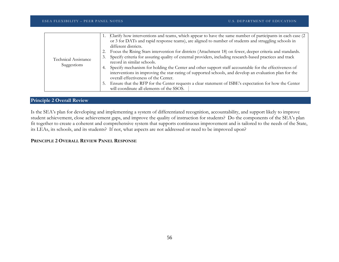|                             | Clarify how interventions and teams, which appear to have the same number of participants in each case (2                    |
|-----------------------------|------------------------------------------------------------------------------------------------------------------------------|
|                             | or 3 for DATs and rapid response teams), are aligned to number of students and struggling schools in<br>different districts. |
|                             |                                                                                                                              |
|                             | Focus the Rising Stars intervention for districts (Attachment 18) on fewer, deeper criteria and standards.                   |
| <b>Technical Assistance</b> | Specify criteria for assuring quality of external providers, including research-based practices and track<br>3.              |
|                             | record in similar schools.                                                                                                   |
| Suggestions                 | Specify mechanism for holding the Center and other support staff accountable for the effectiveness of<br>4.                  |
|                             | interventions in improving the star-rating of supported schools, and develop an evaluation plan for the                      |
|                             | overall effectiveness of the Center.                                                                                         |
|                             | Ensure that the RFP for the Center requests a clear statement of ISBE's expectation for how the Center<br>Ć.                 |
|                             | will coordinate all elements of the SSOS.                                                                                    |

### **Principle 2 Overall Review**

Is the SEA's plan for developing and implementing a system of differentiated recognition, accountability, and support likely to improve student achievement, close achievement gaps, and improve the quality of instruction for students? Do the components of the SEA's plan fit together to create a coherent and comprehensive system that supports continuous improvement and is tailored to the needs of the State, its LEAs, its schools, and its students? If not, what aspects are not addressed or need to be improved upon?

### **PRINCIPLE 2 OVERALL REVIEW PANEL RESPONSE**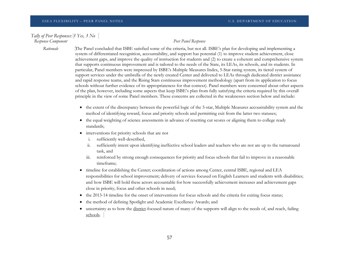### *Tally of Peer Responses: 3 Yes, 3 No Response Component Peer Panel Response*

*Rationale* The Panel concluded that ISBE satisfied some of the criteria, but not all. ISBE's plan for developing and implementing a system of differentiated recognition, accountability, and support has potential (1) to improve student achievement, close achievement gaps, and improve the quality of instruction for students and (2) to create a coherent and comprehensive system that supports continuous improvement and is tailored to the needs of the State, its LEAs, its schools, and its students. In particular, Panel members were impressed by ISBE's Multiple Measures Index, 5-Star rating system, its tiered system of support services under the umbrella of the newly created Center and delivered to LEAs through dedicated district assistance and rapid response teams, and the Rising Stars continuous improvement methodology (apart from its application to focus schools without further evidence of its appropriateness for that context). Panel members were concerned about other aspects of the plan, however, including some aspects that keep ISBE's plan from fully satisfying the criteria required by this overall principle in the view of some Panel members. These concerns are collected in the weaknesses section below and include:

- the extent of the discrepancy between the powerful logic of the 5-star, Multiple Measures accountability system and the method of identifying reward, focus and priority schools and permitting exit from the latter two statuses;
- the equal weighting of science assessments in advance of resetting cut scores or aligning them to college ready standards;
- interventions for priority schools that are not
	- i. sufficiently well-described,
	- ii. sufficiently intent upon identifying ineffective school leaders and teachers who are not are up to the turnaround task, and
	- iii. reinforced by strong enough consequences for priority and focus schools that fail to improve in a reasonable timeframe;
- timeline for establishing the Center; coordination of actions among Center, central ISBE, regional and LEA responsibilities for school improvement; delivery of services focused on English Learners and students with disabilities; and how ISBE will hold these actors accountable for how successfully achievement increases and achievement gaps close in priority, focus and other schools in need;
- the 2013-14 timeline for the onset of interventions for focus schools and the criteria for exiting focus status;
- the method of defining Spotlight and Academic Excellence Awards; and
- uncertainty as to how the district-focused nature of many of the supports will align to the needs of, and reach, failing schools.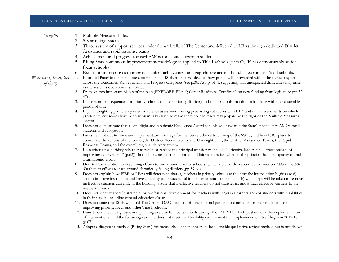|                                        |    | ESEA FLEXIBILITY - PEER PANEL NOTES<br><b>U.S. DEPARTMENT OF EDUCATION</b>                                                                                                                                                                                              |
|----------------------------------------|----|-------------------------------------------------------------------------------------------------------------------------------------------------------------------------------------------------------------------------------------------------------------------------|
| <b>Strengths</b>                       | 1. | Multiple Measures Index                                                                                                                                                                                                                                                 |
|                                        | 2. | 5-Star rating system                                                                                                                                                                                                                                                    |
|                                        | 3. | Tiered system of support services under the umbrella of The Center and delivered to LEAs through dedicated District                                                                                                                                                     |
|                                        |    | Assistance and rapid response teams                                                                                                                                                                                                                                     |
|                                        |    | 4. Achievement and progress-focused AMOs for all and subgroup students                                                                                                                                                                                                  |
|                                        | 5. | Rising Stars continuous improvement methodology as applied to Title I schools generally (if less demonstrably so for                                                                                                                                                    |
|                                        |    | focus schools)                                                                                                                                                                                                                                                          |
|                                        | 6. | Extension of incentives to improve student achievement and gap-closure across the full spectrum of Title I schools.                                                                                                                                                     |
| Weaknesses, issues, lack<br>of clarity | 1. | Informed Panel in the telephone conference that ISBE has not yet decided how points will be awarded within the five star system<br>across the Outcomes, Achievement, and Progress categories (see p.38; Att. p. 517), suggesting that unexpected difficulties may arise |
|                                        |    | as the system's operation is simulated.                                                                                                                                                                                                                                 |
|                                        | 2. | Premises two important pieces of the plan (EXPLORE-PLAN; Career Readiness Certificate) on new funding from legislature (pp.32,<br>47).                                                                                                                                  |
|                                        | 3. | Imposes no consequences for priority schools (outside priority districts) and focus schools that do not improve within a reasonable<br>period of time.                                                                                                                  |
|                                        | 4. | Equally weighting proficiency rates on science assessments using preexisting cut scores with ELA and math assessments on which                                                                                                                                          |
|                                        |    | proficiency cut scores have been substantially raised to make them college ready may jeopardize the rigor of the Multiple Measures                                                                                                                                      |
|                                        |    | system.                                                                                                                                                                                                                                                                 |
|                                        |    | 5. Does not demonstrate that all Spotlight and Academic Excellence Award schools will have met the State's proficiency AMOs for all<br>students and subgroups.                                                                                                          |
|                                        | 6. | Lacks detail about timeline and implementation strategy for the Center, the restructuring of the SSOS, and how ISBE plans to                                                                                                                                            |
|                                        |    | coordinate the actions of the Center, the District Accountability and Oversight Unit, the District Assistance Teams, the Rapid<br>Response Teams, and the overall regional delivery system                                                                              |
|                                        | 7. | Uses criteria for deciding whether to retain or replace the principal of priority schools ("effective leadership"; "track record [of]                                                                                                                                   |
|                                        |    | improving achievement" (p.62)) that fail to consider the important additional question whether the principal has the capacity to lead                                                                                                                                   |
|                                        |    | a turnaround effort.                                                                                                                                                                                                                                                    |
|                                        |    | 8. Devotes less attention to describing efforts to turnaround priority schools (which are directly responsive to criterion 2.D.iii) (pp.59-<br>60) than to efforts to turn around chronically failing districts (pp.59-64).                                             |
|                                        | 9. | Does not explain how ISBE or LEAs will determine that (a) teachers in priority schools at the time the intervention begins are (i)                                                                                                                                      |
|                                        |    | able to improve instruction and have an ability to be successful in the turnaround context, and (b) what steps will be taken to remove                                                                                                                                  |
|                                        |    | ineffective teachers currently in the building, assure that ineffective teachers do not transfer in, and attract effective teachers to the                                                                                                                              |
|                                        |    | neediest schools.<br>10. Does not identify specific strategies or professional development for teachers with English Learners and/or students with disabilities                                                                                                         |
|                                        |    | in their classes, including general-education classes.                                                                                                                                                                                                                  |
|                                        |    | 11. Does not state that ISBE will hold The Center, DAO, regional offices, external partners accountable for their track record of                                                                                                                                       |
|                                        |    | improving priority, focus and other Title I schools.                                                                                                                                                                                                                    |
|                                        |    | 12. Plans to conduct a diagnostic and planning exercise for focus schools during all of 2012-13, which pushes back the implementation                                                                                                                                   |
|                                        |    | of interventions until the following year and does not meet the Flexibility requirement that implementation itself begin in 2012-13                                                                                                                                     |
|                                        |    | $(p.67)$ .                                                                                                                                                                                                                                                              |
|                                        |    | 13. Adopts a diagnostic method (Rising Stars) for focus schools that appears to be a sensible qualitative review method but is not shown                                                                                                                                |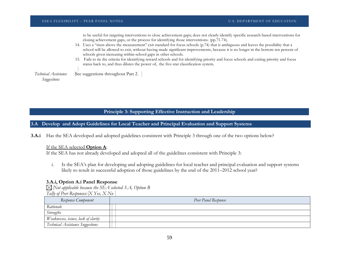to be useful for targeting interventions to close achievement gaps; does not clearly identify specific research-based interventions for closing achievement gaps, or the process for identifying those interventions. (pp.71-74).

- 14. Uses a "risen above the measurement" exit standard for focus schools (p.74) that is ambiguous and leaves the possibility that a school will be allowed to exit, without having made significant improvements, because it is no longer in the bottom ten percent of schools given increasing within-school gaps in other schools.
- 15. Fails to tie the criteria for identifying reward schools and for identifying priority and focus schools and exiting priority and focus status back to, and thus dilutes the power of, the five-star classification system.

*Technical Assistance Suggestions* See suggestions throughout Part 2.

**Principle 3: Supporting Effective Instruction and Leadership**

**3.A Develop and Adopt Guidelines for Local Teacher and Principal Evaluation and Support Systems**

**3.A.i** Has the SEA developed and adopted guidelines consistent with Principle 3 through one of the two options below?

If the SEA selected **Option A**:

If the SEA has not already developed and adopted all of the guidelines consistent with Principle 3:

i. Is the SEA's plan for developing and adopting guidelines for local teacher and principal evaluation and support systems likely to result in successful adoption of those guidelines by the end of the 2011–2012 school year?

### **3.A.i, Option A.i Panel Response**

*Not applicable because the SEA selected 3.A, Option B Tally of Peer Responses: X Yes, X No*

| Response Component                  | Peer Panel Response |
|-------------------------------------|---------------------|
| Rationale                           |                     |
| <b>Strengths</b>                    |                     |
| Weaknesses, issues, lack of clarity |                     |
| Technical Assistance Suggestions    |                     |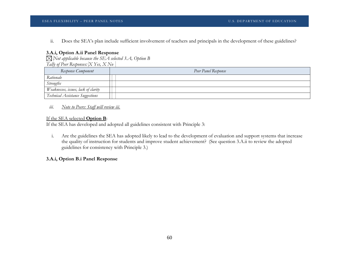ii. Does the SEA's plan include sufficient involvement of teachers and principals in the development of these guidelines?

### **3.A.i, Option A.ii Panel Response**

*Not applicable because the SEA selected 3.A, Option B Tally of Peer Responses: X Yes, X No*

| Response Component                  | Peer Panel Response |
|-------------------------------------|---------------------|
| Rationale                           |                     |
| <b>Strengths</b>                    |                     |
| Weaknesses, issues, lack of clarity |                     |
| Technical Assistance Suggestions    |                     |

*iii. Note to Peers: Staff will review iii.*

### If the SEA selected **Option B**:

If the SEA has developed and adopted all guidelines consistent with Principle 3:

i. Are the guidelines the SEA has adopted likely to lead to the development of evaluation and support systems that increase the quality of instruction for students and improve student achievement? (See question 3.A.ii to review the adopted guidelines for consistency with Principle 3.)

### **3.A.i, Option B.i Panel Response**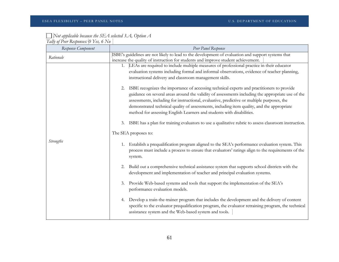### *Not applicable because the SEA selected 3.A, Option A Tally of Peer Responses: 0 Yes, 6 No*

*Response Component Peer Panel Response Rationale* ISBE's guidelines are not likely to lead to the development of evaluation and support systems that increase the quality of instruction for students and improve student achievement. *Strengths* 1. LEAs are required to include multiple measures of professional practice in their educator evaluation systems including formal and informal observations, evidence of teacher planning, instructional delivery and classroom management skills. 2. ISBE recognizes the importance of accessing technical experts and practitioners to provide guidance on several areas around the validity of assessments including the appropriate use of the assessments, including for instructional, evaluative, predictive or multiple purposes, the demonstrated technical quality of assessments, including item quality, and the appropriate method for assessing English Learners and students with disabilities. 3. ISBE has a plan for training evaluators to use a qualitative rubric to assess classroom instruction. The SEA proposes to: 1. Establish a prequalification program aligned to the SEA's performance evaluation system. This process must include a process to ensure that evaluators' ratings align to the requirements of the system. 2. Build out a comprehensive technical assistance system that supports school districts with the development and implementation of teacher and principal evaluation systems. 3. Provide Web-based systems and tools that support the implementation of the SEA's performance evaluation models. 4. Develop a train-the-trainer program that includes the development and the delivery of content specific to the evaluator prequalification program, the evaluator retraining program, the technical assistance system and the Web-based system and tools.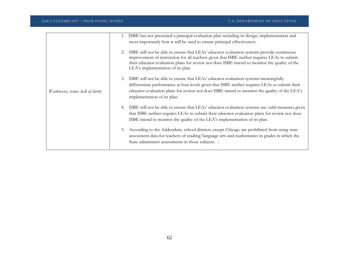|                                     | 1. | ISBE has not presented a principal evaluation plan including its design, implementation and<br>most importantly how it will be used to ensure principal effectiveness.                                                                                                                                                         |
|-------------------------------------|----|--------------------------------------------------------------------------------------------------------------------------------------------------------------------------------------------------------------------------------------------------------------------------------------------------------------------------------|
|                                     | 2. | ISBE will not be able to ensure that LEAs' educator evaluation systems provide continuous<br>improvement of instruction for all teachers given that ISBE neither requires LEAs to submit<br>their educator evaluation plans for review nor does ISBE intend to monitor the quality of the<br>LEA's implementation of its plan. |
| Weaknesses, issues, lack of clarity | 3. | ISBE will not be able to ensure that LEAs' educator evaluation systems meaningfully<br>differentiate performance at four levels given that ISBE neither requires LEAs to submit their<br>educator evaluation plans for review nor does ISBE intend to monitor the quality of the LEA's<br>implementation of its plan.          |
|                                     | 4. | ISBE will not be able to ensure that LEAs' educator evaluation systems use valid measures given<br>that ISBE neither requires LEAs to submit their educator evaluation plans for review nor does<br>ISBE intend to monitor the quality of the LEA's implementation of its plan.                                                |
|                                     | 5. | According to the Addendum, school districts except Chicago are prohibited from using state<br>assessment data for teachers of reading/language arts and mathematics in grades in which the<br>State administers assessments in those subjects.                                                                                 |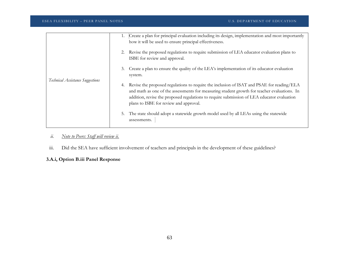|                                  | Create a plan for principal evaluation including its design, implementation and most importantly<br>how it will be used to ensure principal effectiveness.                                                                                                                                                                             |
|----------------------------------|----------------------------------------------------------------------------------------------------------------------------------------------------------------------------------------------------------------------------------------------------------------------------------------------------------------------------------------|
|                                  | Revise the proposed regulations to require submission of LEA educator evaluation plans to<br>2.<br>ISBE for review and approval.                                                                                                                                                                                                       |
| Technical Assistance Suggestions | Create a plan to ensure the quality of the LEA's implementation of its educator evaluation<br>3.<br>system.                                                                                                                                                                                                                            |
|                                  | Revise the proposed regulations to require the inclusion of ISAT and PSAE for reading/ELA<br>4.<br>and math as one of the assessments for measuring student growth for teacher evaluations. In<br>addition, revise the proposed regulations to require submission of LEA educator evaluation<br>plans to ISBE for review and approval. |
|                                  | The state should adopt a statewide growth model used by all LEAs using the statewide<br>5.<br>assessments.                                                                                                                                                                                                                             |

### *ii. Note to Peers: Staff will review ii.*

iii. Did the SEA have sufficient involvement of teachers and principals in the development of these guidelines?

## **3.A.i, Option B.iii Panel Response**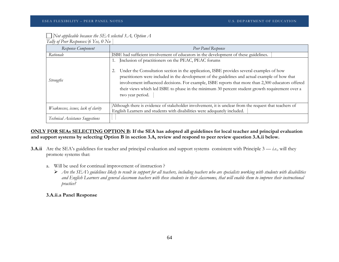# *Not applicable because the SEA selected 3.A, Option A*

*Tally of Peer Responses: 6 Yes, 0 No*

| Response Component                  | Peer Panel Response                                                                                                                                                                                                                                                                                                                                                                                                                                                             |
|-------------------------------------|---------------------------------------------------------------------------------------------------------------------------------------------------------------------------------------------------------------------------------------------------------------------------------------------------------------------------------------------------------------------------------------------------------------------------------------------------------------------------------|
| Rationale                           | ISBE had sufficient involvement of educators in the development of these guidelines.                                                                                                                                                                                                                                                                                                                                                                                            |
| <i>Strengths</i>                    | Inclusion of practitioners on the PEAC, PEAC forums<br>Under the Consultation section in the application, ISBE provides several examples of how<br>practitioners were included in the development of the guidelines and actual example of how that<br>involvement influenced decisions. For example, ISBE reports that more than 2,300 educators offered<br>their views which led ISBE to phase in the minimum 30 percent student growth requirement over a<br>two year period. |
| Weaknesses, issues, lack of clarity | Although there is evidence of stakeholder involvement, it is unclear from the request that teachers of<br>English Learners and students with disabilities were adequately included.                                                                                                                                                                                                                                                                                             |
| Technical Assistance Suggestions    |                                                                                                                                                                                                                                                                                                                                                                                                                                                                                 |

### **ONLY FOR SEAs SELECTING OPTION B: If the SEA has adopted all guidelines for local teacher and principal evaluation and support systems by selecting Option B in section 3.A, review and respond to peer review question 3.A.ii below.**

- **3.A.ii** Are the SEA's guidelines for teacher and principal evaluation and support systems consistent with Principle 3 *i.e.,* will they promote systems that:
	- a. Will be used for continual improvement of instruction ?
		- $\triangleright$  Are the SEA's guidelines likely to result in support for all teachers, including teachers who are specialists working with students with disabilities *and English Learners and general classroom teachers with these students in their classrooms, that will enable them to improve their instructional practice?*

### **3.A.ii.a Panel Response**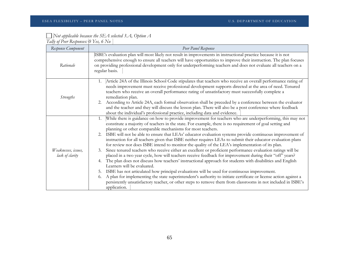# *Not applicable because the SEA selected 3.A, Option A*

| Response Component                     | Peer Panel Response                                                                                                                                                                                                                                                                                                                                                                                                                                                                                                                                                                                                                                                                                                                                                                                                                                                                                                                                                                                                                                                                                                                                                                                                                                                                                                                                                             |
|----------------------------------------|---------------------------------------------------------------------------------------------------------------------------------------------------------------------------------------------------------------------------------------------------------------------------------------------------------------------------------------------------------------------------------------------------------------------------------------------------------------------------------------------------------------------------------------------------------------------------------------------------------------------------------------------------------------------------------------------------------------------------------------------------------------------------------------------------------------------------------------------------------------------------------------------------------------------------------------------------------------------------------------------------------------------------------------------------------------------------------------------------------------------------------------------------------------------------------------------------------------------------------------------------------------------------------------------------------------------------------------------------------------------------------|
| Rationale                              | ISBE's evaluation plan will most likely not result in improvements in instructional practice because it is not<br>comprehensive enough to ensure all teachers will have opportunities to improve their instruction. The plan focuses<br>on providing professional development only for underperforming teachers and does not evaluate all teachers on a<br>regular basis.                                                                                                                                                                                                                                                                                                                                                                                                                                                                                                                                                                                                                                                                                                                                                                                                                                                                                                                                                                                                       |
| <i>Strengths</i>                       | Article 24A of the Illinois School Code stipulates that teachers who receive an overall performance rating of<br>1.<br>needs improvement must receive professional development supports directed at the area of need. Tenured<br>teachers who receive an overall performance rating of unsatisfactory must successfully complete a<br>remediation plan.<br>According to Article 24A, each formal observation shall be preceded by a conference between the evaluator<br>2.<br>and the teacher and they will discuss the lesson plan. There will also be a post conference where feedback<br>about the individual's professional practice, including data and evidence.                                                                                                                                                                                                                                                                                                                                                                                                                                                                                                                                                                                                                                                                                                          |
| Weaknesses, issues,<br>lack of clarity | While there is guidance on how to provide improvement for teachers who are underperforming, this may not<br>1.<br>constitute a majority of teachers in the state. For example, there is no requirement of goal setting and<br>planning or other comparable mechanisms for most teachers.<br>ISBE will not be able to ensure that LEAs' educator evaluation systems provide continuous improvement of<br>2.<br>instruction for all teachers given that ISBE neither requires LEAs to submit their educator evaluation plans<br>for review nor does ISBE intend to monitor the quality of the LEA's implementation of its plan.<br>Since tenured teachers who receive either an excellent or proficient performance evaluation ratings will be<br>3.<br>placed in a two year cycle, how will teachers receive feedback for improvement during their "off" years?<br>The plan does not discuss how teachers' instructional approach for students with disabilities and English<br>4.<br>Learners will be evaluated.<br>ISBE has not articulated how principal evaluations will be used for continuous improvement.<br>5.<br>A plan for implementing the state superintendent's authority to initiate certificate or license action against a<br>6.<br>persistently unsatisfactory teacher, or other steps to remove them from classrooms in not included in ISBE's<br>application. |

*Tally of Peer Responses: 0 Yes, 6 No*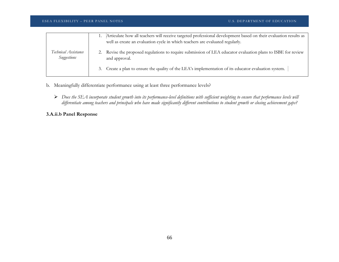| Technical Assistance<br>Suggestions | Articulate how all teachers will receive targeted professional development based on their evaluation results as<br>well as create an evaluation cycle in which teachers are evaluated regularly. |
|-------------------------------------|--------------------------------------------------------------------------------------------------------------------------------------------------------------------------------------------------|
|                                     | 2. Revise the proposed regulations to require submission of LEA educator evaluation plans to ISBE for review<br>and approval.                                                                    |
|                                     | 3. Create a plan to ensure the quality of the LEA's implementation of its educator evaluation system.                                                                                            |

- b. Meaningfully differentiate performance using at least three performance levels?
	- *Does the SEA incorporate student growth into its performance-level definitions with sufficient weighting to ensure that performance levels will differentiate among teachers and principals who have made significantly different contributions to student growth or closing achievement gaps?*

## **3.A.ii.b Panel Response**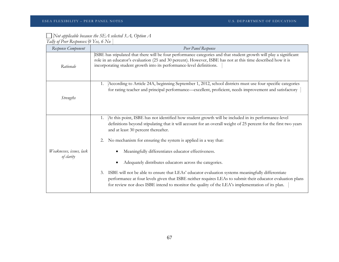### *Not applicable because the SEA selected 3.A, Option A Tally of Peer Responses: 0 Yes, 6 No*

| Response Component                     | Peer Panel Response                                                                                                                                                                                                                                                                                                                                                                                                                                                                                                                                                                                                                                                                                                                                                                       |
|----------------------------------------|-------------------------------------------------------------------------------------------------------------------------------------------------------------------------------------------------------------------------------------------------------------------------------------------------------------------------------------------------------------------------------------------------------------------------------------------------------------------------------------------------------------------------------------------------------------------------------------------------------------------------------------------------------------------------------------------------------------------------------------------------------------------------------------------|
| Rationale                              | ISBE has stipulated that there will be four performance categories and that student growth will play a significant<br>role in an educator's evaluation (25 and 30 percent). However, ISBE has not at this time described how it is<br>incorporating student growth into its performance-level definitions.                                                                                                                                                                                                                                                                                                                                                                                                                                                                                |
| <b>Strengths</b>                       | According to Article 24A, beginning September 1, 2012, school districts must use four specific categories<br>1.<br>for rating teacher and principal performance—excellent, proficient, needs improvement and satisfactory                                                                                                                                                                                                                                                                                                                                                                                                                                                                                                                                                                 |
| Weaknesses, issues, lack<br>of clarity | At this point, ISBE has not identified how student growth will be included in its performance-level<br>1.<br>definitions beyond stipulating that it will account for an overall weight of 25 percent for the first two years<br>and at least 30 percent thereafter.<br>No mechanism for ensuring the system is applied in a way that:<br>2.<br>Meaningfully differentiates educator effectiveness.<br>Adequately distributes educators across the categories.<br>ISBE will not be able to ensure that LEAs' educator evaluation systems meaningfully differentiate<br>3.<br>performance at four levels given that ISBE neither requires LEAs to submit their educator evaluation plans<br>for review nor does ISBE intend to monitor the quality of the LEA's implementation of its plan. |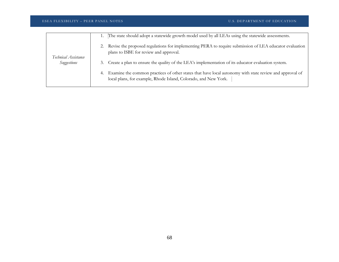| Technical Assistance<br>Suggestions | The state should adopt a statewide growth model used by all LEAs using the statewide assessments.                                                                             |
|-------------------------------------|-------------------------------------------------------------------------------------------------------------------------------------------------------------------------------|
|                                     | 2. Revise the proposed regulations for implementing PERA to require submission of LEA educator evaluation<br>plans to ISBE for review and approval.                           |
|                                     | 3. Create a plan to ensure the quality of the LEA's implementation of its educator evaluation system.                                                                         |
|                                     | 4. Examine the common practices of other states that have local autonomy with state review and approval of<br>local plans, for example, Rhode Island, Colorado, and New York. |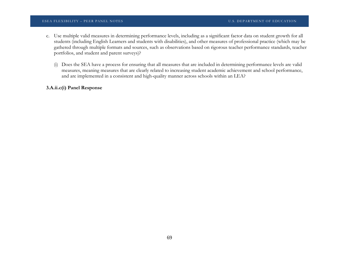### ESEA FLEXIBILITY – PEER PANEL NOTES U.S. DEPARTMENT OF EDUCATION

- c. Use multiple valid measures in determining performance levels, including as a significant factor data on student growth for all students (including English Learners and students with disabilities), and other measures of professional practice (which may be gathered through multiple formats and sources, such as observations based on rigorous teacher performance standards, teacher portfolios, and student and parent surveys)?
	- (i) Does the SEA have a process for ensuring that all measures that are included in determining performance levels are valid measures, meaning measures that are clearly related to increasing student academic achievement and school performance, and are implemented in a consistent and high-quality manner across schools within an LEA?

### **3.A.ii.c(i) Panel Response**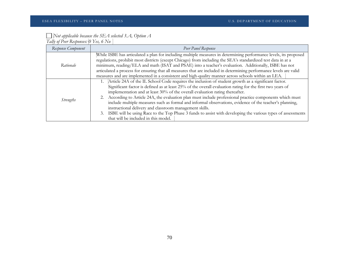## *Not applicable because the SEA selected 3.A, Option A*

*Tally of Peer Responses: 0 Yes, 6 No*

| Response Component | Peer Panel Response                                                                                                                                                                                                                                                                                                                                                                                                                                                                                                                                                                                                                                                                                                                              |
|--------------------|--------------------------------------------------------------------------------------------------------------------------------------------------------------------------------------------------------------------------------------------------------------------------------------------------------------------------------------------------------------------------------------------------------------------------------------------------------------------------------------------------------------------------------------------------------------------------------------------------------------------------------------------------------------------------------------------------------------------------------------------------|
| Rationale          | While ISBE has articulated a plan for including multiple measures in determining performance levels, its proposed<br>regulations, prohibit most districts (except Chicago) from including the SEA's standardized test data in at a<br>minimum, reading/ELA and math (ISAT and PSAE) into a teacher's evaluation. Additionally, ISBE has not<br>articulated a process for ensuring that all measures that are included in determining performance levels are valid<br>measures and are implemented in a consistent and high-quality manner across schools within an LEA.                                                                                                                                                                          |
| <i>Strengths</i>   | 1. Article 24A of the IL School Code requires the inclusion of student growth as a significant factor.<br>Significant factor is defined as at least 25% of the overall evaluation rating for the first two years of<br>implementation and at least 30% of the overall evaluation rating thereafter.<br>2. According to Article 24A, the evaluation plan must include professional practice components which must<br>include multiple measures such as formal and informal observations, evidence of the teacher's planning,<br>instructional delivery and classroom management skills.<br>3. ISBE will be using Race to the Top Phase 3 funds to assist with developing the various types of assessments<br>that will be included in this model. |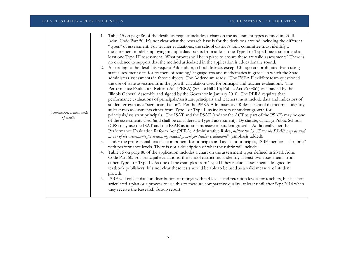|                          | Table 15 on page 86 of the flexibility request includes a chart on the assessment types defined in 23 Ill.<br>1.                                                                                           |
|--------------------------|------------------------------------------------------------------------------------------------------------------------------------------------------------------------------------------------------------|
|                          | Adm. Code Part 50. It's not clear what the research base is for the decisions around including the different                                                                                               |
|                          | "types" of assessment. For teacher evaluations, the school district's joint committee must identify a                                                                                                      |
|                          | measurement model employing multiple data points from at least one Type I or Type II assessment and at                                                                                                     |
|                          | least one Type III assessment. What process will be in place to ensure these are valid assessments? There is                                                                                               |
|                          | no evidence to support that the method articulated in the application is educationally sound.                                                                                                              |
|                          | 2. According to the flexibility request Addendum, school districts except Chicago are prohibited from using                                                                                                |
|                          | state assessment data for teachers of reading/language arts and mathematics in grades in which the State                                                                                                   |
|                          | administers assessments in those subjects. The Addendum reads: "The ESEA Flexibility team questioned                                                                                                       |
|                          | the use of state assessments in the growth calculation used for principal and teacher evaluations. The<br>Performance Evaluation Reform Act (PERA) (Senate Bill 315; Public Act 96-0861) was passed by the |
|                          | Illinois General Assembly and signed by the Governor in January 2010. The PERA requires that                                                                                                               |
|                          | performance evaluations of principals/assistant principals and teachers must include data and indicators of                                                                                                |
|                          | student growth as a "significant factor". Per the PERA Administrative Rules, a school district must identify                                                                                               |
|                          | at least two assessments either from Type I or Type II as indicators of student growth for                                                                                                                 |
| Weaknesses, issues, lack | principals/assistant principals. The ISAT and the PSAE (and/or the ACT as part of the PSAE) may be one                                                                                                     |
| of clarity               | of the assessments used (and shall be considered a Type I assessment). By statute, Chicago Public Schools                                                                                                  |
|                          | (CPS) may use the ISAT and the PSAE as its sole measure of student growth. Additionally, per the                                                                                                           |
|                          | Performance Evaluation Reform Act (PERA) Administrative Rules, neither the ISAT nor the PSAE may be used                                                                                                   |
|                          | as one of the assessments for measuring student growth for teacher evaluations" (emphasis added).                                                                                                          |
|                          | Under the professional practice component for principals and assistant principals, ISBE mentions a "rubric"<br>3.<br>with performance levels. There is not a description of what the rubric will include.  |
|                          | Table 15 on page 86 of the application includes a chart on the assessment types defined in 23 Ill. Adm.<br>4.                                                                                              |
|                          | Code Part 50. For principal evaluations, the school district must identify at least two assessments from                                                                                                   |
|                          | either Type I or Type II. As one of the examples from Type II they include assessments designed by                                                                                                         |
|                          | textbook publishers. It's not clear these tests would be able to be used as a valid measure of student                                                                                                     |
|                          | growth.                                                                                                                                                                                                    |
|                          | 5. ISBE will collect data on distribution of ratings within 4 levels and retention levels for teachers, but has not                                                                                        |
|                          | articulated a plan or a process to use this to measure comparative quality, at least until after Sept 2014 when                                                                                            |
|                          | they receive the Research Group report.                                                                                                                                                                    |
|                          |                                                                                                                                                                                                            |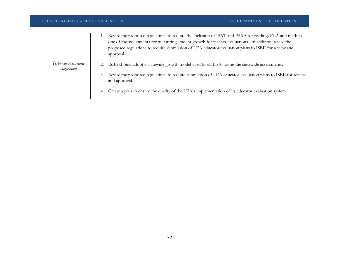| Technical Assistance<br>Suggestions | Revise the proposed regulations to require the inclusion of ISAT and PSAE for reading/ELA and math as<br>1.<br>one of the assessments for measuring student growth for teacher evaluations. In addition, revise the<br>proposed regulations to require submission of LEA educator evaluation plans to ISBE for review and<br>approval. |
|-------------------------------------|----------------------------------------------------------------------------------------------------------------------------------------------------------------------------------------------------------------------------------------------------------------------------------------------------------------------------------------|
|                                     | ISBE should adopt a statewide growth model used by all LEAs using the statewide assessments.<br>3. Revise the proposed regulations to require submission of LEA educator evaluation plans to ISBE for review<br>and approval.                                                                                                          |
|                                     | 4. Create a plan to ensure the quality of the LEA's implementation of its educator evaluation system.                                                                                                                                                                                                                                  |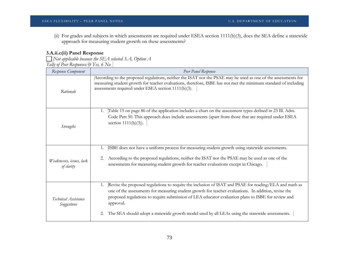(ii) For grades and subjects in which assessments are required under ESEA section 1111(b)(3), does the SEA define a statewide approach for measuring student growth on these assessments?

## **3.A.ii.c(ii) Panel Response**

*Not applicable because the SEA selected 3.A, Option A Tally of Peer Responses: 0 Yes, 6 No*

| Response Component                     | Peer Panel Response                                                                                                                                                                                                                                                                                                                                                                                                                       |
|----------------------------------------|-------------------------------------------------------------------------------------------------------------------------------------------------------------------------------------------------------------------------------------------------------------------------------------------------------------------------------------------------------------------------------------------------------------------------------------------|
| Rationale                              | According to the proposed regulations, neither the ISAT nor the PSAE may be used as one of the assessments for<br>measuring student growth for teacher evaluations, therefore, ISBE has not met the minimum standard of including<br>assessments required under ESEA section 1111(b)(3).                                                                                                                                                  |
| <b>Strengths</b>                       | Table 15 on page 86 of the application includes a chart on the assessment types defined in 23 Ill. Adm.<br>1.<br>Code Part 50. This approach does include assessments (apart from those that are required under ESEA<br>section $1111(b)(3)$ ).                                                                                                                                                                                           |
| Weaknesses, issues, lack<br>of clarity | ISBE does not have a uniform process for measuring student growth using statewide assessments.<br>1.<br>According to the proposed regulations, neither the ISAT nor the PSAE may be used as one of the<br>2.<br>assessments for measuring student growth for teacher evaluations except in Chicago.                                                                                                                                       |
| Technical Assistance<br>Suggestions    | Revise the proposed regulations to require the inclusion of ISAT and PSAE for reading/ELA and math as<br>1.<br>one of the assessments for measuring student growth for teacher evaluations. In addition, revise the<br>proposed regulations to require submission of LEA educator evaluation plans to ISBE for review and<br>approval.<br>The SEA should adopt a statewide growth model used by all LEAs using the statewide assessments. |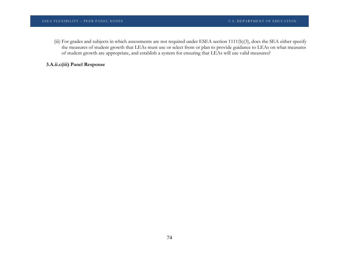(iii) For grades and subjects in which assessments are not required under ESEA section 1111(b)(3), does the SEA either specify the measures of student growth that LEAs must use or select from or plan to provide guidance to LEAs on what measures of student growth are appropriate, and establish a system for ensuring that LEAs will use valid measures?

# **3.A.ii.c(iii) Panel Response**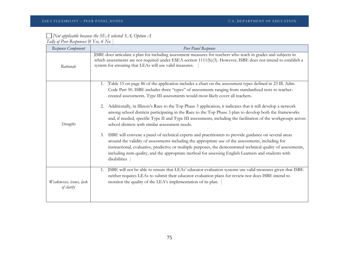| $\Box$ Not applicable because the SEA selected 3.A, Option A |
|--------------------------------------------------------------|
| Tally of Peer Responses: $\vert 0 \rangle$ Yes, 6 No         |

| Response Component                     | Peer Panel Response                                                                                                                                                                                                                                                                                                                                                                                                                                                                                                                                                                                                                                                                                                                                                                                                                                                                                                                                                                                                                                                                                                                                                          |
|----------------------------------------|------------------------------------------------------------------------------------------------------------------------------------------------------------------------------------------------------------------------------------------------------------------------------------------------------------------------------------------------------------------------------------------------------------------------------------------------------------------------------------------------------------------------------------------------------------------------------------------------------------------------------------------------------------------------------------------------------------------------------------------------------------------------------------------------------------------------------------------------------------------------------------------------------------------------------------------------------------------------------------------------------------------------------------------------------------------------------------------------------------------------------------------------------------------------------|
| Rationale                              | ISBE does articulate a plan for including assessment measures for teachers who teach in grades and subjects in<br>which assessments are not required under ESEA section 1111(b)(3). However, ISBE does not intend to establish a<br>system for ensuring that LEAs will use valid measures.                                                                                                                                                                                                                                                                                                                                                                                                                                                                                                                                                                                                                                                                                                                                                                                                                                                                                   |
| <i>Strengths</i>                       | Table 15 on page 86 of the application includes a chart on the assessment types defined in 23 Ill. Adm.<br>1.<br>Code Part 50. ISBE includes three "types" of assessments ranging from standardized tests to teacher-<br>created assessments. Type III assessments would most likely cover all teachers.<br>Additionally, in Illinois's Race to the Top Phase 3 application, it indicates that it will develop a network<br>2.<br>among school districts participating in the Race to the Top Phase 3 plan to develop both the frameworks<br>and, if needed, specific Type II and Type III assessments, including the facilitation of the workgroups across<br>school districts with similar assessment needs.<br>ISBE will convene a panel of technical experts and practitioners to provide guidance on several areas<br>3.<br>around the validity of assessments including the appropriate use of the assessments, including for<br>instructional, evaluative, predictive or multiple purposes, the demonstrated technical quality of assessments,<br>including item quality, and the appropriate method for assessing English Learners and students with<br>disabilities |
| Weaknesses, issues, lack<br>of clarity | ISBE will not be able to ensure that LEAs' educator evaluation systems use valid measures given that ISBE<br>1.<br>neither requires LEAs to submit their educator evaluation plans for review nor does ISBE intend to<br>monitor the quality of the LEA's implementation of its plan.                                                                                                                                                                                                                                                                                                                                                                                                                                                                                                                                                                                                                                                                                                                                                                                                                                                                                        |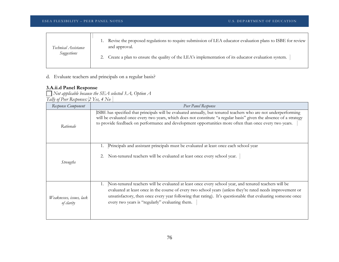| Technical Assistance | 1. Revise the proposed regulations to require submission of LEA educator evaluation plans to ISBE for review<br>and approval. |
|----------------------|-------------------------------------------------------------------------------------------------------------------------------|
| Suggestions          | 2. Create a plan to ensure the quality of the LEA's implementation of its educator evaluation system.                         |

d. Evaluate teachers and principals on a regular basis?

# **3.A.ii.d Panel Response**

*Not applicable because the SEA selected 3.A, Option A Tally of Peer Responses: 2 Yes, 4 No*

| Response Component                     | Peer Panel Response                                                                                                                                                                                                                                                                                                                                                                        |
|----------------------------------------|--------------------------------------------------------------------------------------------------------------------------------------------------------------------------------------------------------------------------------------------------------------------------------------------------------------------------------------------------------------------------------------------|
| Rationale                              | ISBE has specified that principals will be evaluated annually, but tenured teachers who are not underperforming<br>will be evaluated once every two years, which does not constitute "a regular basis" given the absence of a strategy<br>to provide feedback on performance and development opportunities more often than once every two years.                                           |
| <i>Strengths</i>                       | Principals and assistant principals must be evaluated at least once each school year<br>Non-tenured teachers will be evaluated at least once every school year.<br>2.                                                                                                                                                                                                                      |
| Weaknesses, issues, lack<br>of clarity | Non-tenured teachers will be evaluated at least once every school year, and tenured teachers will be<br>1.<br>evaluated at least once in the course of every two school years (unless they're rated needs improvement or<br>unsatisfactory, then once every year following that rating). It's questionable that evaluating someone once<br>every two years is "regularly" evaluating them. |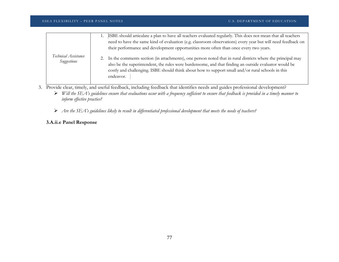|                                     | 1. ISBE should articulate a plan to have all teachers evaluated regularly. This does not mean that all teachers<br>need to have the same kind of evaluation (e.g. classroom observations) every year but will need feedback on<br>their performance and development opportunities more often than once every two years.                  |
|-------------------------------------|------------------------------------------------------------------------------------------------------------------------------------------------------------------------------------------------------------------------------------------------------------------------------------------------------------------------------------------|
| Technical Assistance<br>Suggestions | 2. In the comments section (in attachments), one person noted that in rural districts where the principal may<br>also be the superintendent, the rules were burdensome, and that finding an outside evaluator would be<br>costly and challenging. ISBE should think about how to support small and/or rural schools in this<br>endeavor. |

- 3. Provide clear, timely, and useful feedback, including feedback that identifies needs and guides professional development?
	- *Will the SEA's guidelines ensure that evaluations occur with a frequency sufficient to ensure that feedback is provided in a timely manner to inform effective practice?*
	- *Are the SEA's guidelines likely to result in differentiated professional development that meets the needs of teachers?*

# **3.A.ii.e Panel Response**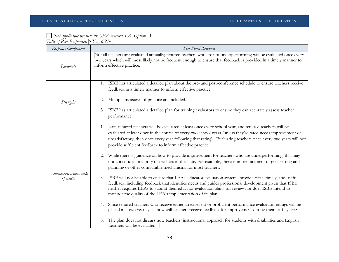#### *Not applicable because the SEA selected 3.A, Option A Tally of Peer Responses: 0 Yes, 6 No*

| Response Component                     | Peer Panel Response                                                                                                                                                                                                                                                                                                                                                                                                                                                                                                                                                                                                                                                                                                                                                                                                                                                                                                                                                                                                                                                                                                                                                                                                                                                                                                                                                                                                                                                                      |
|----------------------------------------|------------------------------------------------------------------------------------------------------------------------------------------------------------------------------------------------------------------------------------------------------------------------------------------------------------------------------------------------------------------------------------------------------------------------------------------------------------------------------------------------------------------------------------------------------------------------------------------------------------------------------------------------------------------------------------------------------------------------------------------------------------------------------------------------------------------------------------------------------------------------------------------------------------------------------------------------------------------------------------------------------------------------------------------------------------------------------------------------------------------------------------------------------------------------------------------------------------------------------------------------------------------------------------------------------------------------------------------------------------------------------------------------------------------------------------------------------------------------------------------|
| Rationale                              | Not all teachers are evaluated annually; tenured teachers who are not underperforming will be evaluated once every<br>two years which will most likely not be frequent enough to ensure that feedback is provided in a timely manner to<br>inform effective practice.                                                                                                                                                                                                                                                                                                                                                                                                                                                                                                                                                                                                                                                                                                                                                                                                                                                                                                                                                                                                                                                                                                                                                                                                                    |
| <b>Strengths</b>                       | ISBE has articulated a detailed plan about the pre- and post-conference schedule to ensure teachers receive<br>1.<br>feedback in a timely manner to inform effective practice.<br>Multiple measures of practice are included.<br>2.<br>ISBE has articulated a detailed plan for training evaluators to ensure they can accurately assess teacher<br>3.<br>performance.                                                                                                                                                                                                                                                                                                                                                                                                                                                                                                                                                                                                                                                                                                                                                                                                                                                                                                                                                                                                                                                                                                                   |
| Weaknesses, issues, lack<br>of clarity | Non-tenured teachers will be evaluated at least once every school year, and tenured teachers will be<br>1.<br>evaluated at least once in the course of every two school years (unless they're rated needs improvement or<br>unsatisfactory, then once every year following that rating). Evaluating teachers once every two years will not<br>provide sufficient feedback to inform effective practice.<br>While there is guidance on how to provide improvement for teachers who are underperforming, this may<br>2.<br>not constitute a majority of teachers in the state. For example, there is no requirement of goal setting and<br>planning or other comparable mechanisms for most teachers.<br>ISBE will not be able to ensure that LEAs' educator evaluation systems provide clear, timely, and useful<br>3.<br>feedback; including feedback that identifies needs and guides professional development given that ISBE<br>neither requires LEAs to submit their educator evaluation plans for review nor does ISBE intend to<br>monitor the quality of the LEA's implementation of its plan.<br>Since tenured teachers who receive either an excellent or proficient performance evaluation ratings will be<br>4.<br>placed in a two year cycle, how will teachers receive feedback for improvement during their "off" years?<br>The plan does not discuss how teachers' instructional approach for students with disabilities and English<br>5.<br>Learners will be evaluated. |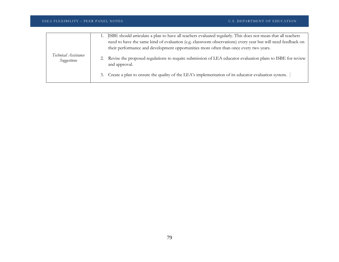| Technical Assistance<br>Suggestions | ISBE should articulate a plan to have all teachers evaluated regularly. This does not mean that all teachers<br>need to have the same kind of evaluation (e.g. classroom observations) every year but will need feedback on<br>their performance and development opportunities more often than once every two years.<br>2. Revise the proposed regulations to require submission of LEA educator evaluation plans to ISBE for review<br>and approval.<br>3. Create a plan to ensure the quality of the LEA's implementation of its educator evaluation system. |
|-------------------------------------|----------------------------------------------------------------------------------------------------------------------------------------------------------------------------------------------------------------------------------------------------------------------------------------------------------------------------------------------------------------------------------------------------------------------------------------------------------------------------------------------------------------------------------------------------------------|
|                                     |                                                                                                                                                                                                                                                                                                                                                                                                                                                                                                                                                                |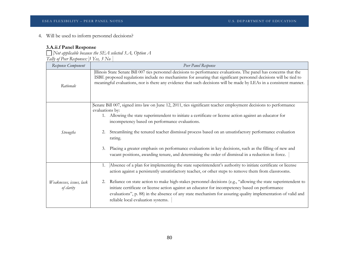4. Will be used to inform personnel decisions?

# **3.A.ii.f Panel Response**

*Not applicable because the SEA selected 3.A, Option A Tally of Peer Responses: 3 Yes, 3 No*

| Response Component                     | Peer Panel Response                                                                                                                                                                                                                                                                                                                                                                                                                                                                                                                                                                                                                             |
|----------------------------------------|-------------------------------------------------------------------------------------------------------------------------------------------------------------------------------------------------------------------------------------------------------------------------------------------------------------------------------------------------------------------------------------------------------------------------------------------------------------------------------------------------------------------------------------------------------------------------------------------------------------------------------------------------|
| Rationale                              | Illinois State Senate Bill 007 ties personnel decisions to performance evaluations. The panel has concerns that the<br>ISBE proposed regulations include no mechanisms for assuring that significant personnel decisions will be tied to<br>meaningful evaluations, nor is there any evidence that such decisions will be made by LEAs in a consistent manner.                                                                                                                                                                                                                                                                                  |
| <b>Strengths</b>                       | Senate Bill 007, signed into law on June 12, 2011, ties significant teacher employment decisions to performance<br>evaluations by:<br>1. Allowing the state superintendent to initiate a certificate or license action against an educator for<br>incompetency based on performance evaluations.<br>Streamlining the tenured teacher dismissal process based on an unsatisfactory performance evaluation<br>2.<br>rating.<br>Placing a greater emphasis on performance evaluations in key decisions, such as the filling of new and<br>3.<br>vacant positions, awarding tenure, and determining the order of dismissal in a reduction in force. |
| Weaknesses, issues, lack<br>of clarity | Absence of a plan for implementing the state superintendent's authority to initiate certificate or license<br>1.<br>action against a persistently unsatisfactory teacher, or other steps to remove them from classrooms.<br>Reliance on state action to make high-stakes personnel decisions (e.g., "allowing the state superintendent to<br>2.<br>initiate certificate or license action against an educator for incompetency based on performance<br>evaluations", p. 88) in the absence of any state mechanism for assuring quality implementation of valid and<br>reliable local evaluation systems.                                        |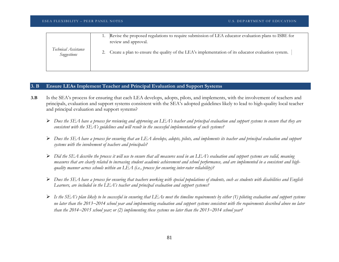|                                     | Revise the proposed regulations to require submission of LEA educator evaluation plans to ISBE for<br>review and approval. |
|-------------------------------------|----------------------------------------------------------------------------------------------------------------------------|
| Technical Assistance<br>Suggestions | 2. Create a plan to ensure the quality of the LEA's implementation of its educator evaluation system.                      |
|                                     |                                                                                                                            |

#### **3. B Ensure LEAs Implement Teacher and Principal Evaluation and Support Systems**

- **3.B** Is the SEA's process for ensuring that each LEA develops, adopts, pilots, and implements, with the involvement of teachers and principals, evaluation and support systems consistent with the SEA's adopted guidelines likely to lead to high-quality local teacher and principal evaluation and support systems?
	- *Does the SEA have a process for reviewing and approving an LEA's teacher and principal evaluation and support systems to ensure that they are consistent with the SEA's guidelines and will result in the successful implementation of such systems?*
	- *Does the SEA have a process for ensuring that an LEA develops, adopts, pilots, and implements its teacher and principal evaluation and support systems with the involvement of teachers and principals?*
	- *Did the SEA describe the process it will use to ensure that all measures used in an LEA's evaluation and support systems are valid, meaning measures that are clearly related to increasing student academic achievement and school performance, and are implemented in a consistent and highquality manner across schools within an LEA (i.e., process for ensuring inter-rater reliability)?*
	- *Does the SEA have a process for ensuring that teachers working with special populations of students, such as students with disabilities and English Learners, are included in the LEA's teacher and principal evaluation and support systems?*
	- *Is the SEA's plan likely to be successful in ensuring that LEAs meet the timeline requirements by either (1) piloting evaluation and support systems no later than the 2013*−*2014 school year and implementing evaluation and support systems consistent with the requirements described above no later than the 2014*−*2015 school year; or (2) implementing these systems no later than the 2013*−*2014 school year?*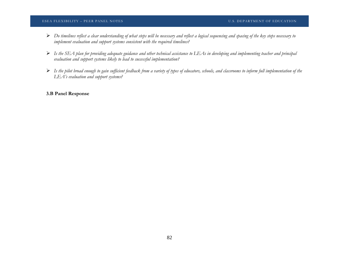#### ESEA FLEXIBILITY – PEER PANEL NOTES U.S. DEPARTMENT OF EDUCATION

- *Do timelines reflect a clear understanding of what steps will be necessary and reflect a logical sequencing and spacing of the key steps necessary to implement evaluation and support systems consistent with the required timelines?*
- $\triangleright$  Is the SEA plan for providing adequate guidance and other technical assistance to LEAs in developing and implementing teacher and principal *evaluation and support systems likely to lead to successful implementation?*
- *Is the pilot broad enough to gain sufficient feedback from a variety of types of educators, schools, and classrooms to inform full implementation of the LEA's evaluation and support systems?*

### **3.B Panel Response**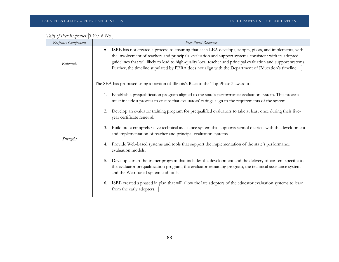| Response Component | Peer Panel Response                                                                                                                                                                                                                                                                                                                                                                                                                                                                                                                                                                                                                                                                                                                                                                                                                                                                                                                                                                                                                                                                                                                                                                                      |
|--------------------|----------------------------------------------------------------------------------------------------------------------------------------------------------------------------------------------------------------------------------------------------------------------------------------------------------------------------------------------------------------------------------------------------------------------------------------------------------------------------------------------------------------------------------------------------------------------------------------------------------------------------------------------------------------------------------------------------------------------------------------------------------------------------------------------------------------------------------------------------------------------------------------------------------------------------------------------------------------------------------------------------------------------------------------------------------------------------------------------------------------------------------------------------------------------------------------------------------|
| Rationale          | ISBE has not created a process to ensuring that each LEA develops, adopts, pilots, and implements, with<br>$\bullet$<br>the involvement of teachers and principals, evaluation and support systems consistent with its adopted<br>guidelines that will likely to lead to high-quality local teacher and principal evaluation and support systems.<br>Further, the timeline stipulated by PERA does not align with the Department of Education's timeline.                                                                                                                                                                                                                                                                                                                                                                                                                                                                                                                                                                                                                                                                                                                                                |
| <b>Strengths</b>   | The SEA has proposed using a portion of Illinois's Race to the Top Phase 3 award to:<br>Establish a prequalification program aligned to the state's performance evaluation system. This process<br>1.<br>must include a process to ensure that evaluators' ratings align to the requirements of the system.<br>Develop an evaluator training program for prequalified evaluators to take at least once during their five-<br>2.<br>year certificate renewal.<br>Build out a comprehensive technical assistance system that supports school districts with the development<br>3.<br>and implementation of teacher and principal evaluation systems.<br>Provide Web-based systems and tools that support the implementation of the state's performance<br>4.<br>evaluation models.<br>Develop a train-the-trainer program that includes the development and the delivery of content specific to<br>5.<br>the evaluator prequalification program, the evaluator retraining program, the technical assistance system<br>and the Web-based system and tools.<br>ISBE created a phased in plan that will allow the late adopters of the educator evaluation systems to learn<br>6.<br>from the early adopters. |

| Tally of Peer Responses: [O Yes, 6 No |  |
|---------------------------------------|--|
|                                       |  |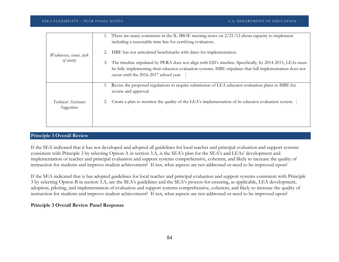| Weaknesses, issues, lack<br>of clarity | There are many comments in the IL SBOE meeting notes on $2/21/12$ about capacity to implement<br>1.                        |
|----------------------------------------|----------------------------------------------------------------------------------------------------------------------------|
|                                        | including a reasonable time line for certifying evaluators.                                                                |
|                                        | ISBE has not articulated benchmarks with dates for implementation.                                                         |
|                                        | The timeline stipulated by PERA does not align with ED's timeline. Specifically, by 2014-2015, LEAs must<br>3.             |
|                                        | be fully implementing their educator evaluation systems. ISBE stipulates that full implementation does not                 |
|                                        | occur until the 2016-2017 school year.                                                                                     |
|                                        |                                                                                                                            |
| Technical Assistance<br>Suggestions    | Revise the proposed regulations to require submission of LEA educator evaluation plans to ISBE for<br>review and approval. |
|                                        | Create a plan to monitor the quality of the LEA's implementation of its educator evaluation system.                        |
|                                        |                                                                                                                            |
|                                        |                                                                                                                            |
|                                        |                                                                                                                            |
|                                        |                                                                                                                            |

## **Principle 3 Overall Review**

If the SEA indicated that it has not developed and adopted all guidelines for local teacher and principal evaluation and support systems consistent with Principle 3 by selecting Option A in section 3.A, is the SEA's plan for the SEA's and LEAs' development and implementation of teacher and principal evaluation and support systems comprehensive, coherent, and likely to increase the quality of instruction for students and improve student achievement? If not, what aspects are not addressed or need to be improved upon?

If the SEA indicated that is has adopted guidelines for local teacher and principal evaluation and support systems consistent with Principle 3 by selecting Option B in section 3.A, are the SEA's guidelines and the SEA's process for ensuring, as applicable, LEA development, adoption, piloting, and implementation of evaluation and support systems comprehensive, coherent, and likely to increase the quality of instruction for students and improve student achievement? If not, what aspects are not addressed or need to be improved upon?

#### **Principle 3 Overall Review Panel Response**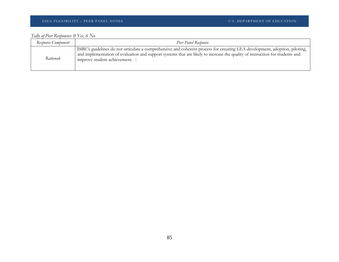#### ESEA FLEXIBILITY – PEER PANEL NOTES U.S. DEPARTMENT OF EDUCATION

# *Tally of Peer Responses: 0 Yes, 6 No*

| Response Component | Peer Panel Response                                                                                                                                                                                                                                                                        |
|--------------------|--------------------------------------------------------------------------------------------------------------------------------------------------------------------------------------------------------------------------------------------------------------------------------------------|
| Rationale          | ISBE's guidelines do not articulate a comprehensive and coherent process for ensuring LEA development, adoption, piloting,<br>and implementation of evaluation and support systems that are likely to increase the quality of instruction for students and<br>improve student achievement. |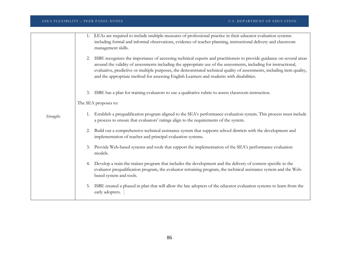|                  | ESEA FLEXIBILITY - PEER PANEL NOTES                                                                                                                                                                                                                                                                                                       | U.S. DEPARTMENT OF EDUCATION                                                                                            |
|------------------|-------------------------------------------------------------------------------------------------------------------------------------------------------------------------------------------------------------------------------------------------------------------------------------------------------------------------------------------|-------------------------------------------------------------------------------------------------------------------------|
|                  | LEAs are required to include multiple measures of professional practice in their educator evaluation systems<br>1.<br>including formal and informal observations, evidence of teacher planning, instructional delivery and classroom<br>management skills.                                                                                |                                                                                                                         |
|                  | 2. ISBE recognizes the importance of accessing technical experts and practitioners to provide guidance on several areas<br>around the validity of assessments including the appropriate use of the assessments, including for instructional,<br>and the appropriate method for assessing English Learners and students with disabilities. | evaluative, predictive or multiple purposes, the demonstrated technical quality of assessments, including item quality, |
|                  | ISBE has a plan for training evaluators to use a qualitative rubric to assess classroom instruction.<br>3.                                                                                                                                                                                                                                |                                                                                                                         |
|                  | The SEA proposes to:                                                                                                                                                                                                                                                                                                                      |                                                                                                                         |
| <b>Strengths</b> | a process to ensure that evaluators' ratings align to the requirements of the system.                                                                                                                                                                                                                                                     | Establish a prequalification program aligned to the SEA's performance evaluation system. This process must include      |
|                  | 2. Build out a comprehensive technical assistance system that supports school districts with the development and<br>implementation of teacher and principal evaluation systems.                                                                                                                                                           |                                                                                                                         |
|                  | Provide Web-based systems and tools that support the implementation of the SEA's performance evaluation<br>models.                                                                                                                                                                                                                        |                                                                                                                         |
|                  | 4. Develop a train-the-trainer program that includes the development and the delivery of content specific to the<br>based system and tools.                                                                                                                                                                                               | evaluator prequalification program, the evaluator retraining program, the technical assistance system and the Web-      |
|                  | 5.<br>early adopters.                                                                                                                                                                                                                                                                                                                     | ISBE created a phased in plan that will allow the late adopters of the educator evaluation systems to learn from the    |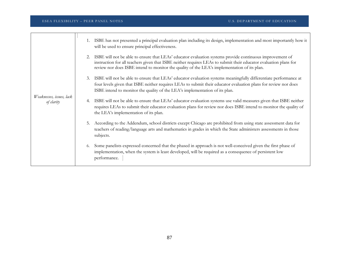| Weaknesses, issues, lack<br>of clarity | ISBE has not presented a principal evaluation plan including its design, implementation and most importantly how it<br>will be used to ensure principal effectiveness.                                                                                                                                                      |
|----------------------------------------|-----------------------------------------------------------------------------------------------------------------------------------------------------------------------------------------------------------------------------------------------------------------------------------------------------------------------------|
|                                        | ISBE will not be able to ensure that LEAs' educator evaluation systems provide continuous improvement of<br>instruction for all teachers given that ISBE neither requires LEAs to submit their educator evaluation plans for<br>review nor does ISBE intend to monitor the quality of the LEA's implementation of its plan. |
|                                        | ISBE will not be able to ensure that LEAs' educator evaluation systems meaningfully differentiate performance at<br>3.<br>four levels given that ISBE neither requires LEAs to submit their educator evaluation plans for review nor does<br>ISBE intend to monitor the quality of the LEA's implementation of its plan.    |
|                                        | ISBE will not be able to ensure that LEAs' educator evaluation systems use valid measures given that ISBE neither<br>requires LEAs to submit their educator evaluation plans for review nor does ISBE intend to monitor the quality of<br>the LEA's implementation of its plan.                                             |
|                                        | According to the Addendum, school districts except Chicago are prohibited from using state assessment data for<br>5.<br>teachers of reading/language arts and mathematics in grades in which the State administers assessments in those<br>subjects.                                                                        |
|                                        | Some panelists expressed concerned that the phased in approach is not well-conceived given the first phase of<br>6.<br>implementation, when the system is least developed, will be required as a consequence of persistent low<br>performance.                                                                              |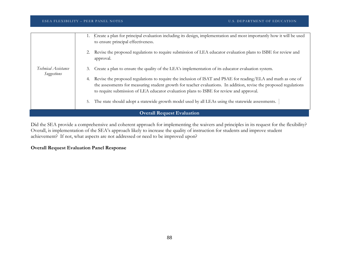|                                     | Create a plan for principal evaluation including its design, implementation and most importantly how it will be used<br>to ensure principal effectiveness.                                                                                                                                                                    |  |
|-------------------------------------|-------------------------------------------------------------------------------------------------------------------------------------------------------------------------------------------------------------------------------------------------------------------------------------------------------------------------------|--|
| Technical Assistance<br>Suggestions | Revise the proposed regulations to require submission of LEA educator evaluation plans to ISBE for review and<br>approval.                                                                                                                                                                                                    |  |
|                                     | Create a plan to ensure the quality of the LEA's implementation of its educator evaluation system.<br>3.                                                                                                                                                                                                                      |  |
|                                     | Revise the proposed regulations to require the inclusion of ISAT and PSAE for reading/ELA and math as one of<br>the assessments for measuring student growth for teacher evaluations. In addition, revise the proposed regulations<br>to require submission of LEA educator evaluation plans to ISBE for review and approval. |  |
|                                     | The state should adopt a statewide growth model used by all LEAs using the statewide assessments.                                                                                                                                                                                                                             |  |
| <b>Overall Request Evaluation</b>   |                                                                                                                                                                                                                                                                                                                               |  |

Did the SEA provide a comprehensive and coherent approach for implementing the waivers and principles in its request for the flexibility? Overall, is implementation of the SEA's approach likely to increase the quality of instruction for students and improve student achievement? If not, what aspects are not addressed or need to be improved upon?

## **Overall Request Evaluation Panel Response**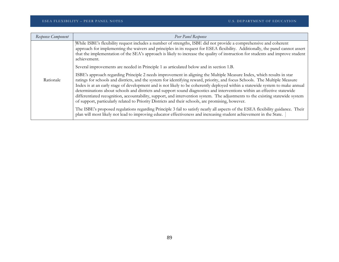| Response Component | Peer Panel Response                                                                                                                                                                                                                                                                                                                                                                                                                                                                                                                                                                                                                                                                                                                                       |
|--------------------|-----------------------------------------------------------------------------------------------------------------------------------------------------------------------------------------------------------------------------------------------------------------------------------------------------------------------------------------------------------------------------------------------------------------------------------------------------------------------------------------------------------------------------------------------------------------------------------------------------------------------------------------------------------------------------------------------------------------------------------------------------------|
| Rationale          | While ISBE's flexibility request includes a number of strengths, ISBE did not provide a comprehensive and coherent<br>approach for implementing the waivers and principles in its request for ESEA flexibility. Additionally, the panel cannot assert<br>that the implementation of the SEA's approach is likely to increase the quality of instruction for students and improve student<br>achievement.                                                                                                                                                                                                                                                                                                                                                  |
|                    | Several improvements are needed in Principle 1 as articulated below and in section 1.B.                                                                                                                                                                                                                                                                                                                                                                                                                                                                                                                                                                                                                                                                   |
|                    | ISBE's approach regarding Principle 2 needs improvement in aligning the Multiple Measure Index, which results in star<br>ratings for schools and districts, and the system for identifying reward, priority, and focus Schools. The Multiple Measure<br>Index is at an early stage of development and is not likely to be coherently deployed within a statewide system to make annual<br>determinations about schools and districts and support sound diagnostics and interventions within an effective statewide<br>differentiated recognition, accountability, support, and intervention system. The adjustments to the existing statewide system<br>of support, particularly related to Priority Districts and their schools, are promising, however. |
|                    | The ISBE's proposed regulations regarding Principle 3 fail to satisfy nearly all aspects of the ESEA flexibility guidance. Their<br>plan will most likely not lead to improving educator effectiveness and increasing student achievement in the State.                                                                                                                                                                                                                                                                                                                                                                                                                                                                                                   |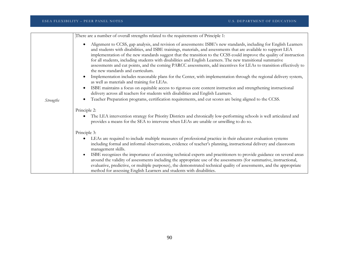|                  | There are a number of overall strengths related to the requirements of Principle 1:                                                                                                                                                                                                                                                                                                                                                                                                                                                                                                                                                      |
|------------------|------------------------------------------------------------------------------------------------------------------------------------------------------------------------------------------------------------------------------------------------------------------------------------------------------------------------------------------------------------------------------------------------------------------------------------------------------------------------------------------------------------------------------------------------------------------------------------------------------------------------------------------|
|                  | Alignment to CCSS, gap analysis, and revision of assessments: ISBE's new standards, including for English Learners<br>and students with disabilities, and ISBE trainings, materials, and assessments that are available to support LEA<br>implementation of the new standards suggest that the transition to the CCSS could improve the quality of instruction<br>for all students, including students with disabilities and English Learners. The new transitional summative<br>assessments and cut points, and the coming PARCC assessments, add incentives for LEAs to transition effectively to<br>the new standards and curriculum. |
|                  | Implementation includes reasonable plans for the Center, with implementation through the regional delivery system,<br>as well as materials and training for LEAs.                                                                                                                                                                                                                                                                                                                                                                                                                                                                        |
|                  | ISBE maintains a focus on equitable access to rigorous core content instruction and strengthening instructional<br>$\bullet$<br>delivery across all teachers for students with disabilities and English Learners.                                                                                                                                                                                                                                                                                                                                                                                                                        |
| <b>Strengths</b> | Teacher Preparation programs, certification requirements, and cut scores are being aligned to the CCSS.                                                                                                                                                                                                                                                                                                                                                                                                                                                                                                                                  |
|                  | Principle 2:                                                                                                                                                                                                                                                                                                                                                                                                                                                                                                                                                                                                                             |
|                  | The LEA intervention strategy for Priority Districts and chronically low-performing schools is well articulated and<br>provides a means for the SEA to intervene when LEAs are unable or unwilling to do so.                                                                                                                                                                                                                                                                                                                                                                                                                             |
|                  | Principle 3:                                                                                                                                                                                                                                                                                                                                                                                                                                                                                                                                                                                                                             |
|                  | LEAs are required to include multiple measures of professional practice in their educator evaluation systems<br>including formal and informal observations, evidence of teacher's planning, instructional delivery and classroom<br>management skills.                                                                                                                                                                                                                                                                                                                                                                                   |
|                  | ISBE recognizes the importance of accessing technical experts and practitioners to provide guidance on several areas<br>$\bullet$<br>around the validity of assessments including the appropriate use of the assessments (for summative, instructional,<br>evaluative, predictive, or multiple purposes), the demonstrated technical quality of assessments, and the appropriate<br>method for assessing English Learners and students with disabilities.                                                                                                                                                                                |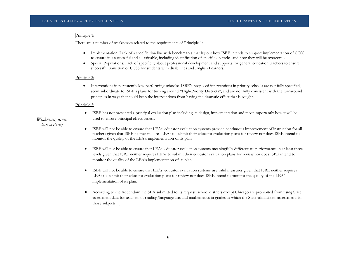|                                        | Principle 1:                                                                                                                                                                                                                                                                                                                                                                                                                                                                                 |
|----------------------------------------|----------------------------------------------------------------------------------------------------------------------------------------------------------------------------------------------------------------------------------------------------------------------------------------------------------------------------------------------------------------------------------------------------------------------------------------------------------------------------------------------|
|                                        | There are a number of weaknesses related to the requirements of Principle 1:                                                                                                                                                                                                                                                                                                                                                                                                                 |
|                                        | Implementation: Lack of a specific timeline with benchmarks that lay out how ISBE intends to support implementation of CCSS<br>to ensure it is successful and sustainable, including identification of specific obstacles and how they will be overcome.<br>Special Populations: Lack of specificity about professional development and supports for general education teachers to ensure<br>$\bullet$<br>successful transition of CCSS for students with disabilities and English Learners. |
|                                        | Principle 2:                                                                                                                                                                                                                                                                                                                                                                                                                                                                                 |
| Weaknesses, issues,<br>lack of clarity | Interventions in persistently low-performing schools: ISBE's proposed interventions in priority schools are not fully specified,<br>seem subordinate to ISBE's plans for turning around "High-Priority Districts", and are not fully consistent with the turnaround<br>principles in ways that could keep the interventions from having the dramatic effect that is sought.                                                                                                                  |
|                                        | Principle 3:                                                                                                                                                                                                                                                                                                                                                                                                                                                                                 |
|                                        | ISBE has not presented a principal evaluation plan including its design, implementation and most importantly how it will be<br>used to ensure principal effectiveness.                                                                                                                                                                                                                                                                                                                       |
|                                        | ISBE will not be able to ensure that LEAs' educator evaluation systems provide continuous improvement of instruction for all<br>$\bullet$<br>teachers given that ISBE neither requires LEAs to submit their educator evaluation plans for review nor does ISBE intend to<br>monitor the quality of the LEA's implementation of its plan.                                                                                                                                                     |
|                                        | ISBE will not be able to ensure that LEAs' educator evaluation systems meaningfully differentiate performance in at least three<br>$\bullet$<br>levels given that ISBE neither requires LEAs to submit their educator evaluation plans for review nor does ISBE intend to<br>monitor the quality of the LEA's implementation of its plan.                                                                                                                                                    |
|                                        | ISBE will not be able to ensure that LEAs' educator evaluation systems use valid measures given that ISBE neither requires<br>$\bullet$<br>LEAs to submit their educator evaluation plans for review nor does ISBE intend to monitor the quality of the LEA's<br>implementation of its plan.                                                                                                                                                                                                 |
|                                        | According to the Addendum the SEA submitted to its request, school districts except Chicago are prohibited from using State<br>$\bullet$<br>assessment data for teachers of reading/language arts and mathematics in grades in which the State administers assessments in<br>those subjects.                                                                                                                                                                                                 |